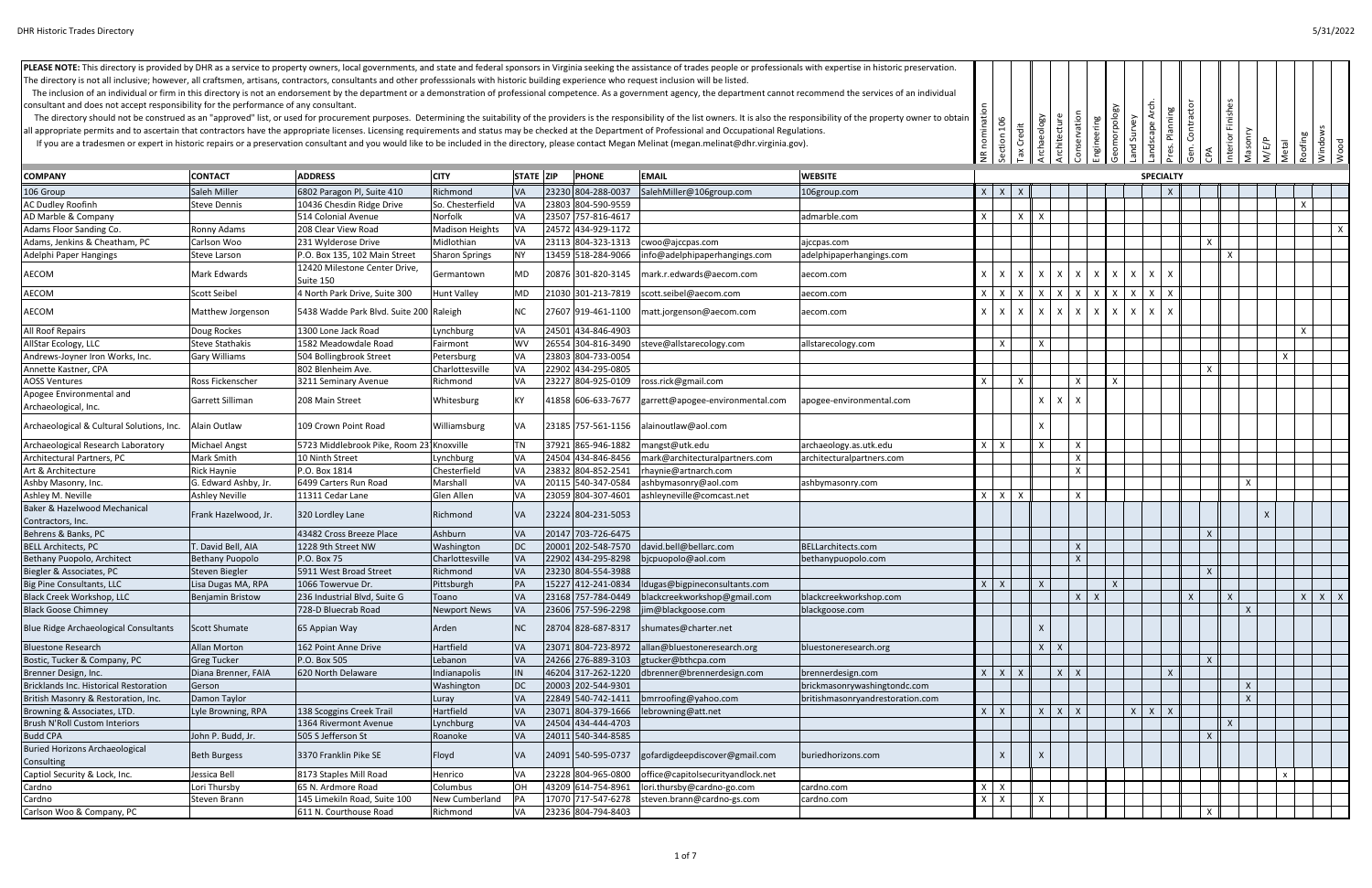| PLEASE NOTE: This directory is provided by DHR as a service to property owners, local governments, and state and federal sponsors in Virginia seeking the assistance of trades people or professionals with expertise in histo<br>The directory is not all inclusive; however, all craftsmen, artisans, contractors, consultants and other professsionals with historic building experience who request inclusion will be listed |                         |                                          |                        |           |                    |                                                                                                                                                                                                      |                                                                                                                                                                                                                                |                   |                           |                                                                           |                              |             |              |                                   |                  |              |              |              |                |                   |                           |
|----------------------------------------------------------------------------------------------------------------------------------------------------------------------------------------------------------------------------------------------------------------------------------------------------------------------------------------------------------------------------------------------------------------------------------|-------------------------|------------------------------------------|------------------------|-----------|--------------------|------------------------------------------------------------------------------------------------------------------------------------------------------------------------------------------------------|--------------------------------------------------------------------------------------------------------------------------------------------------------------------------------------------------------------------------------|-------------------|---------------------------|---------------------------------------------------------------------------|------------------------------|-------------|--------------|-----------------------------------|------------------|--------------|--------------|--------------|----------------|-------------------|---------------------------|
|                                                                                                                                                                                                                                                                                                                                                                                                                                  |                         |                                          |                        |           |                    |                                                                                                                                                                                                      | The inclusion of an individual or firm in this directory is not an endorsement by the department or a demonstration of professional competence. As a government agency, the department cannot recommend the services of an ind |                   |                           |                                                                           |                              |             |              |                                   |                  |              |              |              |                |                   |                           |
| consultant and does not accept responsibility for the performance of any consultant.                                                                                                                                                                                                                                                                                                                                             |                         |                                          |                        |           |                    |                                                                                                                                                                                                      |                                                                                                                                                                                                                                |                   |                           |                                                                           |                              |             |              |                                   |                  |              |              |              |                |                   |                           |
|                                                                                                                                                                                                                                                                                                                                                                                                                                  |                         |                                          |                        |           |                    |                                                                                                                                                                                                      | The directory should not be construed as an "approved" list, or used for procurement purposes. Determining the suitability of the providers is the responsibility of the list owners. It is also the responsibility of the pro |                   |                           |                                                                           |                              |             |              | Arch<br>yey                       |                  |              | Finishes     |              |                |                   |                           |
| all appropriate permits and to ascertain that contractors have the appropriate licenses. Licensing requirements and status may be checked at the Department of Professional and Occupational Regulations.                                                                                                                                                                                                                        |                         |                                          |                        |           |                    |                                                                                                                                                                                                      |                                                                                                                                                                                                                                | 106               |                           | chaeology                                                                 |                              |             | Solodiouoc   |                                   | Planning         | Contra       |              |              |                |                   |                           |
|                                                                                                                                                                                                                                                                                                                                                                                                                                  |                         |                                          |                        |           |                    | If you are a tradesmen or expert in historic repairs or a preservation consultant and you would like to be included in the directory, please contact Megan Melinat (megan.melinat@dhr.virginia.gov). |                                                                                                                                                                                                                                | tion              | Credit                    |                                                                           |                              |             |              | Бă                                |                  |              |              |              |                |                   |                           |
|                                                                                                                                                                                                                                                                                                                                                                                                                                  |                         |                                          |                        |           |                    |                                                                                                                                                                                                      |                                                                                                                                                                                                                                |                   |                           |                                                                           | Conservation<br>Architecture | Engineering |              | andscape<br>P                     |                  |              | Interior     | Masonr       | M/E/P<br>Metal | Roofing           | Windows<br>Wood           |
|                                                                                                                                                                                                                                                                                                                                                                                                                                  |                         |                                          |                        |           |                    |                                                                                                                                                                                                      |                                                                                                                                                                                                                                |                   |                           |                                                                           |                              |             |              |                                   |                  |              |              |              |                |                   |                           |
| <b>COMPANY</b>                                                                                                                                                                                                                                                                                                                                                                                                                   | <b>CONTACT</b>          | <b>ADDRESS</b>                           | <b>CITY</b>            | STATE ZIP | PHONE              | <b>EMAIL</b>                                                                                                                                                                                         | <b>WEBSITE</b>                                                                                                                                                                                                                 |                   |                           |                                                                           |                              |             |              |                                   | <b>SPECIALTY</b> |              |              |              |                |                   |                           |
| 106 Group                                                                                                                                                                                                                                                                                                                                                                                                                        | Saleh Miller            | 6802 Paragon Pl, Suite 410               | Richmond               | <b>VA</b> | 23230 804-288-0037 | SalehMiller@106group.com                                                                                                                                                                             | 106group.com                                                                                                                                                                                                                   | $X$ $X$ $X$       |                           |                                                                           |                              |             |              |                                   | $\mathsf{X}$     |              |              |              |                |                   |                           |
| <b>AC Dudley Roofinh</b>                                                                                                                                                                                                                                                                                                                                                                                                         | <b>Steve Dennis</b>     | 10436 Chesdin Ridge Drive                | So. Chesterfield       | VA        | 23803 804-590-9559 |                                                                                                                                                                                                      |                                                                                                                                                                                                                                |                   |                           |                                                                           |                              |             |              |                                   |                  |              |              |              |                | $\mathsf{X}$      |                           |
| AD Marble & Company                                                                                                                                                                                                                                                                                                                                                                                                              |                         | 514 Colonial Avenue                      | Norfolk                | VA.       | 23507 757-816-4617 |                                                                                                                                                                                                      | ladmarble.com                                                                                                                                                                                                                  | $\mathsf{X}$      |                           | $x \parallel x$                                                           |                              |             |              |                                   |                  |              |              |              |                |                   |                           |
| Adams Floor Sanding Co.                                                                                                                                                                                                                                                                                                                                                                                                          | <b>Ronny Adams</b>      | 208 Clear View Road                      | <b>Madison Heights</b> | VA        | 24572 434-929-1172 |                                                                                                                                                                                                      |                                                                                                                                                                                                                                |                   |                           |                                                                           |                              |             |              |                                   |                  |              |              |              |                |                   | $\boldsymbol{\mathsf{x}}$ |
| Adams, Jenkins & Cheatham, PC                                                                                                                                                                                                                                                                                                                                                                                                    | Carlson Woo             | 231 Wylderose Drive                      | Midlothian             | VA.       |                    | 23113 804-323-1313    cwoo@ajccpas.com                                                                                                                                                               | ajccpas.com                                                                                                                                                                                                                    |                   |                           |                                                                           |                              |             |              |                                   |                  |              | $\mathsf{x}$ |              |                |                   |                           |
| Adelphi Paper Hangings                                                                                                                                                                                                                                                                                                                                                                                                           | <b>Steve Larson</b>     | P.O. Box 135, 102 Main Street            | <b>Sharon Springs</b>  | NY        | 13459 518-284-9066 | info@adelphipaperhangings.com                                                                                                                                                                        | adelphipaperhangings.com                                                                                                                                                                                                       |                   |                           |                                                                           |                              |             |              |                                   |                  |              | X            |              |                |                   |                           |
|                                                                                                                                                                                                                                                                                                                                                                                                                                  |                         | 12420 Milestone Center Drive,            |                        |           |                    |                                                                                                                                                                                                      |                                                                                                                                                                                                                                |                   |                           |                                                                           |                              |             |              |                                   |                  |              |              |              |                |                   |                           |
| AECOM                                                                                                                                                                                                                                                                                                                                                                                                                            | Mark Edwards            | Suite 150                                | Germantown             | MD        | 20876 301-820-3145 | mark.r.edwards@aecom.com                                                                                                                                                                             | aecom.com                                                                                                                                                                                                                      | ΙX                |                           | $X \parallel X \parallel X \parallel$                                     |                              |             |              | $X$   $X$   $X$   $X$   $X$   $X$ |                  |              |              |              |                |                   |                           |
| AECOM                                                                                                                                                                                                                                                                                                                                                                                                                            | Scott Seibel            | 4 North Park Drive, Suite 300            | Hunt Valley            | MD.       |                    | 21030 301-213-7819   scott.seibel@aecom.com                                                                                                                                                          | aecom.com                                                                                                                                                                                                                      |                   |                           | $x \mid x \mid x \mid x \mid x \mid x \mid x \mid x \mid x \mid x \mid x$ |                              |             |              |                                   |                  |              |              |              |                |                   |                           |
| AECOM                                                                                                                                                                                                                                                                                                                                                                                                                            | Matthew Jorgenson       | 5438 Wadde Park Blvd. Suite 200 Raleigh  |                        | NC        |                    | 27607 919-461-1100 matt.jorgenson@aecom.com                                                                                                                                                          | aecom.com                                                                                                                                                                                                                      |                   |                           | x   x   x   x   x   x   x   x   x   x                                     |                              |             |              |                                   | $x \mid x$       |              |              |              |                |                   |                           |
| All Roof Repairs                                                                                                                                                                                                                                                                                                                                                                                                                 | Doug Rockes             | 1300 Lone Jack Road                      | Lynchburg              | VA        | 24501 434-846-4903 |                                                                                                                                                                                                      |                                                                                                                                                                                                                                |                   |                           |                                                                           |                              |             |              |                                   |                  |              |              |              |                | $\mathsf{X}$      |                           |
| AllStar Ecology, LLC                                                                                                                                                                                                                                                                                                                                                                                                             | Steve Stathakis         | 1582 Meadowdale Road                     | Fairmont               | <b>WV</b> |                    | 26554 304-816-3490 steve@allstarecology.com                                                                                                                                                          | allstarecology.com                                                                                                                                                                                                             | $\mathsf{X}$      |                           | $\times$                                                                  |                              |             |              |                                   |                  |              |              |              |                |                   |                           |
| Andrews-Joyner Iron Works, Inc.                                                                                                                                                                                                                                                                                                                                                                                                  | Gary Williams           | 504 Bollingbrook Street                  | Petersburg             | VA        | 23803 804-733-0054 |                                                                                                                                                                                                      |                                                                                                                                                                                                                                |                   |                           |                                                                           |                              |             |              |                                   |                  |              |              |              | $\times$       |                   |                           |
| Annette Kastner, CPA                                                                                                                                                                                                                                                                                                                                                                                                             |                         | 802 Blenheim Ave.                        | Charlottesville        | VA.       | 22902 434-295-0805 |                                                                                                                                                                                                      |                                                                                                                                                                                                                                |                   |                           |                                                                           |                              |             |              |                                   |                  |              | X            |              |                |                   |                           |
| <b>AOSS Ventures</b>                                                                                                                                                                                                                                                                                                                                                                                                             | Ross Fickenscher        | 3211 Seminary Avenue                     | Richmond               | VA        | 23227 804-925-0109 | ross.rick@gmail.com                                                                                                                                                                                  |                                                                                                                                                                                                                                | $\times$          | $\boldsymbol{\mathsf{x}}$ |                                                                           | X                            |             | $\mathsf{x}$ |                                   |                  |              |              |              |                |                   |                           |
| Apogee Environmental and                                                                                                                                                                                                                                                                                                                                                                                                         |                         |                                          |                        |           |                    |                                                                                                                                                                                                      |                                                                                                                                                                                                                                |                   |                           |                                                                           |                              |             |              |                                   |                  |              |              |              |                |                   |                           |
| Archaeological, Inc.                                                                                                                                                                                                                                                                                                                                                                                                             | Garrett Silliman        | 208 Main Street                          | Whitesburg             | KY        | 41858 606-633-7677 | garrett@apogee-environmental.com                                                                                                                                                                     | apogee-environmental.com                                                                                                                                                                                                       |                   |                           | X                                                                         | $\times$                     |             |              |                                   |                  |              |              |              |                |                   |                           |
| Archaeological & Cultural Solutions, Inc.                                                                                                                                                                                                                                                                                                                                                                                        | Alain Outlaw            | 109 Crown Point Road                     | Williamsburg           | VA        |                    | 23185 757-561-1156 alainoutlaw@aol.com                                                                                                                                                               |                                                                                                                                                                                                                                |                   |                           | x                                                                         |                              |             |              |                                   |                  |              |              |              |                |                   |                           |
| Archaeological Research Laboratory                                                                                                                                                                                                                                                                                                                                                                                               | Michael Angst           | 5723 Middlebrook Pike, Room 23 Knoxville |                        | TN        | 37921 865-946-1882 | mangst@utk.edu                                                                                                                                                                                       | archaeology.as.utk.edu                                                                                                                                                                                                         | $X \mid X$        |                           | $\mathsf{X}$                                                              | X                            |             |              |                                   |                  |              |              |              |                |                   |                           |
| Architectural Partners, PC                                                                                                                                                                                                                                                                                                                                                                                                       | Mark Smith              | 10 Ninth Street                          | Lynchburg              | lva       |                    | 24504 434-846-8456 mark@architecturalpartners.com                                                                                                                                                    | architecturalpartners.com                                                                                                                                                                                                      |                   |                           |                                                                           | X                            |             |              |                                   |                  |              |              |              |                |                   |                           |
| Art & Architecture                                                                                                                                                                                                                                                                                                                                                                                                               | <b>Rick Haynie</b>      | P.O. Box 1814                            | Chesterfield           | lva       |                    | 23832 804-852-2541   rhaynie@artnarch.com                                                                                                                                                            |                                                                                                                                                                                                                                |                   |                           |                                                                           | $\times$                     |             |              |                                   |                  |              |              |              |                |                   |                           |
| Ashby Masonry, Inc.                                                                                                                                                                                                                                                                                                                                                                                                              | G. Edward Ashby, Jr.    | 6499 Carters Run Road                    | Marshall               | VA        |                    | 20115 540-347-0584 ashbymasonry@aol.com                                                                                                                                                              | ashbymasonry.com                                                                                                                                                                                                               |                   |                           |                                                                           |                              |             |              |                                   |                  |              |              | $\mathsf{x}$ |                |                   |                           |
| Ashley M. Neville                                                                                                                                                                                                                                                                                                                                                                                                                | <b>Ashley Neville</b>   | 11311 Cedar Lane                         | Glen Allen             | VA.       | 23059 804-307-4601 | ashleyneville@comcast.net                                                                                                                                                                            |                                                                                                                                                                                                                                | $X$ $X$ $X$       |                           |                                                                           | X                            |             |              |                                   |                  |              |              |              |                |                   |                           |
| Baker & Hazelwood Mechanical                                                                                                                                                                                                                                                                                                                                                                                                     |                         |                                          |                        |           |                    |                                                                                                                                                                                                      |                                                                                                                                                                                                                                |                   |                           |                                                                           |                              |             |              |                                   |                  |              |              |              |                |                   |                           |
| Contractors, Inc.                                                                                                                                                                                                                                                                                                                                                                                                                | Frank Hazelwood, Jr.    | 320 Lordley Lane                         | Richmond               | <b>VA</b> | 23224 804-231-5053 |                                                                                                                                                                                                      |                                                                                                                                                                                                                                |                   |                           |                                                                           |                              |             |              |                                   |                  |              |              |              |                |                   |                           |
| Behrens & Banks, PC                                                                                                                                                                                                                                                                                                                                                                                                              |                         | 43482 Cross Breeze Place                 | Ashburn                | VA        | 20147 703-726-6475 |                                                                                                                                                                                                      |                                                                                                                                                                                                                                |                   |                           |                                                                           |                              |             |              |                                   |                  | $\mathsf{X}$ |              |              |                |                   |                           |
| <b>BELL Architects, PC</b>                                                                                                                                                                                                                                                                                                                                                                                                       | T. David Bell, AIA      | 1228 9th Street NW                       | Washington             | <b>DC</b> |                    | 20001 202-548-7570 david.bell@bellarc.com                                                                                                                                                            | BELLarchitects.com                                                                                                                                                                                                             |                   |                           |                                                                           | $\mathsf{X}$                 |             |              |                                   |                  |              |              |              |                |                   |                           |
| Bethany Puopolo, Architect                                                                                                                                                                                                                                                                                                                                                                                                       | <b>Bethany Puopolo</b>  | P.O. Box 75                              | Charlottesville        | VA        |                    | 22902 434-295-8298 bjcpuopolo@aol.com                                                                                                                                                                | bethanypuopolo.com                                                                                                                                                                                                             |                   |                           |                                                                           | $\mathsf{x}$                 |             |              |                                   |                  |              |              |              |                |                   |                           |
| Biegler & Associates, PC                                                                                                                                                                                                                                                                                                                                                                                                         | Steven Biegler          | 5911 West Broad Street                   | Richmond               | <b>VA</b> | 23230 804-554-3988 |                                                                                                                                                                                                      |                                                                                                                                                                                                                                |                   |                           |                                                                           |                              |             |              |                                   |                  |              | $\mathsf{X}$ |              |                |                   |                           |
| <b>Big Pine Consultants, LLC</b>                                                                                                                                                                                                                                                                                                                                                                                                 | Lisa Dugas MA, RPA      | 1066 Towervue Dr.                        | Pittsburgh             | PA        |                    | 15227 412-241-0834 dugas@bigpineconsultants.com                                                                                                                                                      |                                                                                                                                                                                                                                | $X \mid X$        |                           |                                                                           |                              |             | $\mathsf{x}$ |                                   |                  |              |              |              |                |                   |                           |
| Black Creek Workshop, LLC                                                                                                                                                                                                                                                                                                                                                                                                        | <b>Benjamin Bristow</b> | 236 Industrial Blvd, Suite G             | Toano                  | VA        | 23168 757-784-0449 | blackcreekworkshop@gmail.com                                                                                                                                                                         | blackcreekworkshop.com                                                                                                                                                                                                         |                   |                           |                                                                           |                              | $X \mid X$  |              |                                   |                  |              | $\mathsf{X}$ |              |                | $x \mid x \mid x$ |                           |
| <b>Black Goose Chimney</b>                                                                                                                                                                                                                                                                                                                                                                                                       |                         | 728-D Bluecrab Road                      | <b>Newport News</b>    | VA        | 23606 757-596-2298 | jim@blackgoose.com                                                                                                                                                                                   | blackgoose.com                                                                                                                                                                                                                 |                   |                           |                                                                           |                              |             |              |                                   |                  |              |              | $\times$     |                |                   |                           |
| <b>Blue Ridge Archaeological Consultants</b>                                                                                                                                                                                                                                                                                                                                                                                     | Scott Shumate           | 65 Appian Way                            | Arden                  | <b>NC</b> | 28704 828-687-8317 | shumates@charter.net                                                                                                                                                                                 |                                                                                                                                                                                                                                |                   |                           |                                                                           |                              |             |              |                                   |                  |              |              |              |                |                   |                           |
|                                                                                                                                                                                                                                                                                                                                                                                                                                  |                         |                                          |                        |           |                    |                                                                                                                                                                                                      |                                                                                                                                                                                                                                |                   |                           |                                                                           |                              |             |              |                                   |                  |              |              |              |                |                   |                           |
| <b>Bluestone Research</b>                                                                                                                                                                                                                                                                                                                                                                                                        | Allan Morton            | 162 Point Anne Drive                     | Hartfield              | VA        | 23071 804-723-8972 | allan@bluestoneresearch.org<br>24266 276-889-3103 gtucker@bthcpa.com                                                                                                                                 | bluestoneresearch.org                                                                                                                                                                                                          |                   |                           | $x \mid x$                                                                |                              |             |              |                                   |                  |              |              |              |                |                   |                           |
| Bostic, Tucker & Company, PC                                                                                                                                                                                                                                                                                                                                                                                                     | <b>Greg Tucker</b>      | P.O. Box 505                             | Lebanon                | VA        |                    |                                                                                                                                                                                                      |                                                                                                                                                                                                                                |                   |                           |                                                                           |                              |             |              |                                   |                  |              | $\mathsf{X}$ |              |                |                   |                           |
| Brenner Design, Inc.                                                                                                                                                                                                                                                                                                                                                                                                             | Diana Brenner, FAIA     | 620 North Delaware                       | Indianapolis           | <b>IN</b> |                    | 46204 317-262-1220 dbrenner@brennerdesign.com                                                                                                                                                        | brennerdesign.com                                                                                                                                                                                                              | $x \mid x \mid x$ |                           |                                                                           | $X \mid X$                   |             |              |                                   | $\mathsf{X}$     |              |              |              |                |                   |                           |
| Bricklands Inc. Historical Restoration                                                                                                                                                                                                                                                                                                                                                                                           | Gerson                  |                                          | Washington             | <b>DC</b> | 20003 202-544-9301 |                                                                                                                                                                                                      | brickmasonrywashingtondc.com                                                                                                                                                                                                   |                   |                           |                                                                           |                              |             |              |                                   |                  |              |              | $\mathsf{X}$ |                |                   |                           |
| British Masonry & Restoration, Inc.                                                                                                                                                                                                                                                                                                                                                                                              | Damon Taylor            |                                          | Luray                  | VA        | 22849 540-742-1411 | bmrroofing@yahoo.com                                                                                                                                                                                 | britishmasonryandrestoration.com                                                                                                                                                                                               |                   |                           |                                                                           |                              |             |              |                                   |                  |              |              | $\mathsf{X}$ |                |                   |                           |
| Browning & Associates, LTD.                                                                                                                                                                                                                                                                                                                                                                                                      | Lyle Browning, RPA      | 138 Scoggins Creek Trail                 | Hartfield              | <b>VA</b> | 23071 804-379-1666 | lebrowning@att.net                                                                                                                                                                                   |                                                                                                                                                                                                                                | $X \mid X$        |                           | $X \mid X \mid X$                                                         |                              |             |              | $X$ $X$ $X$                       |                  |              |              |              |                |                   |                           |
| Brush N'Roll Custom Interiors                                                                                                                                                                                                                                                                                                                                                                                                    |                         | 1364 Rivermont Avenue                    | Lynchburg              | VA        | 24504 434-444-4703 |                                                                                                                                                                                                      |                                                                                                                                                                                                                                |                   |                           |                                                                           |                              |             |              |                                   |                  |              | $\mathsf{X}$ |              |                |                   |                           |
| <b>Budd CPA</b>                                                                                                                                                                                                                                                                                                                                                                                                                  | John P. Budd, Jr.       | 505 S Jefferson St                       | Roanoke                | VA        | 24011 540-344-8585 |                                                                                                                                                                                                      |                                                                                                                                                                                                                                |                   |                           |                                                                           |                              |             |              |                                   |                  |              | $\mathsf{X}$ |              |                |                   |                           |
| <b>Buried Horizons Archaeological</b><br>Consulting                                                                                                                                                                                                                                                                                                                                                                              | <b>Beth Burgess</b>     | 3370 Franklin Pike SE                    | Floyd                  | VA        | 24091 540-595-0737 | gofardigdeepdiscover@gmail.com                                                                                                                                                                       | buriedhorizons.com                                                                                                                                                                                                             |                   |                           |                                                                           |                              |             |              |                                   |                  |              |              |              |                |                   |                           |
| Captiol Security & Lock, Inc.                                                                                                                                                                                                                                                                                                                                                                                                    | Jessica Bell            | 8173 Staples Mill Road                   | Henrico                | VA        |                    | 23228 804-965-0800 office@capitolsecurityandlock.net                                                                                                                                                 |                                                                                                                                                                                                                                |                   |                           |                                                                           |                              |             |              |                                   |                  |              |              |              | $\mathsf{x}$   |                   |                           |
| Cardno                                                                                                                                                                                                                                                                                                                                                                                                                           | Lori Thursby            | 65 N. Ardmore Road                       | Columbus               | lон       |                    | 43209 614-754-8961  lori.thursby@cardno-go.com                                                                                                                                                       | cardno.com                                                                                                                                                                                                                     | $X \mid X$        |                           |                                                                           |                              |             |              |                                   |                  |              |              |              |                |                   |                           |
| Cardno                                                                                                                                                                                                                                                                                                                                                                                                                           | Steven Brann            | 145 Limekiln Road, Suite 100             | New Cumberland         | PA        |                    | 17070 717-547-6278   steven.brann@cardno-gs.com                                                                                                                                                      | cardno.com                                                                                                                                                                                                                     | $X \mid X$        |                           | X                                                                         |                              |             |              |                                   |                  |              |              |              |                |                   |                           |
| Carlson Woo & Company, PC                                                                                                                                                                                                                                                                                                                                                                                                        |                         | 611 N. Courthouse Road                   | Richmond               | VA.       | 23236 804-794-8403 |                                                                                                                                                                                                      |                                                                                                                                                                                                                                |                   |                           |                                                                           |                              |             |              |                                   |                  |              | $\mathsf{x}$ |              |                |                   |                           |
|                                                                                                                                                                                                                                                                                                                                                                                                                                  |                         |                                          |                        |           |                    |                                                                                                                                                                                                      |                                                                                                                                                                                                                                |                   |                           |                                                                           |                              |             |              |                                   |                  |              |              |              |                |                   |                           |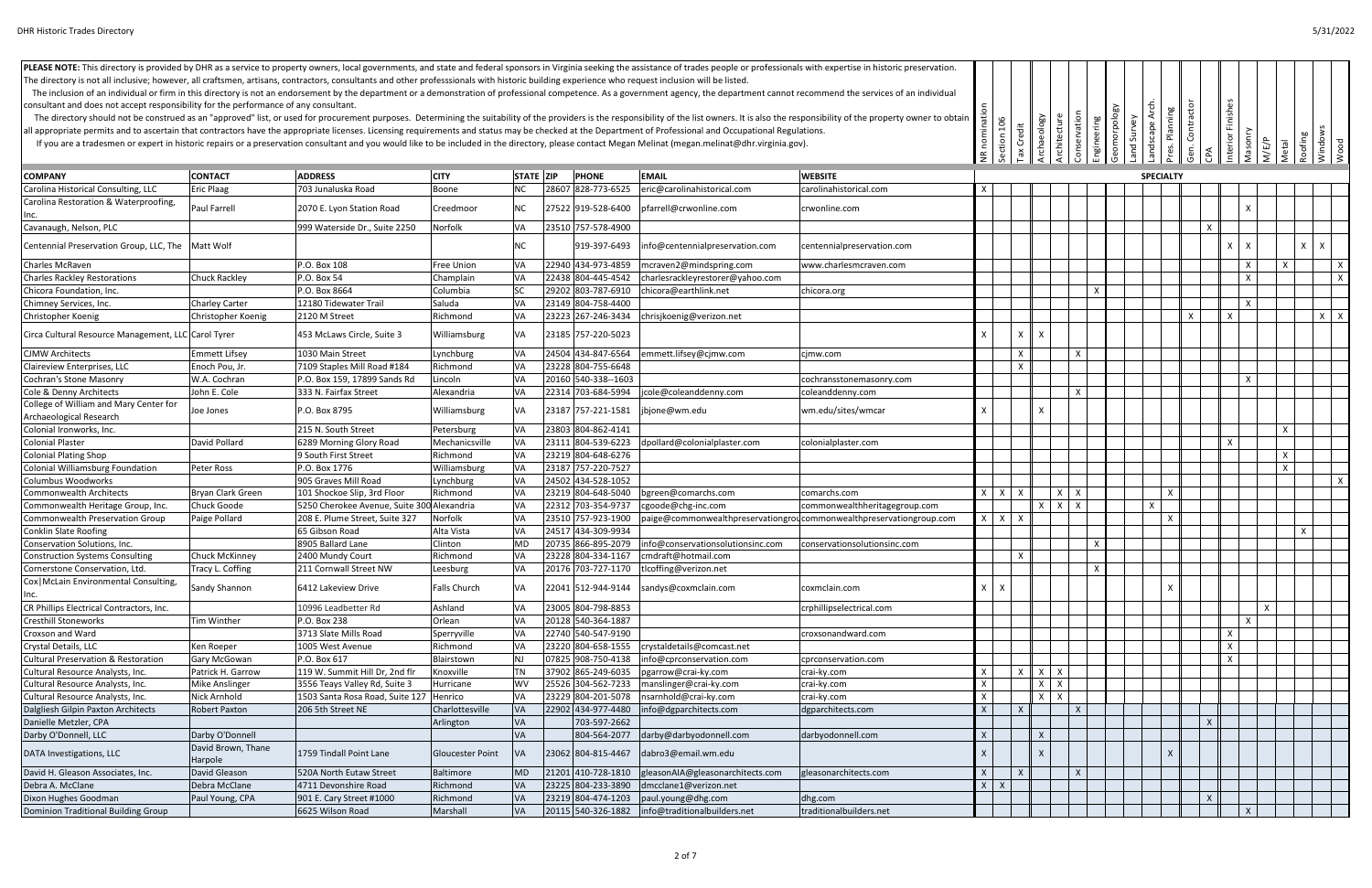| The directory is not all inclusive; however, all craftsmen, artisans, contractors, consultants and other professsionals with historic building experience who request inclusion will be listed. |                               |                                            |                         |                  |                     | PLEASE NOTE: This directory is provided by DHR as a service to property owners, local governments, and state and federal sponsors in Virginia seeking the assistance of trades people or professionals with expertise in histo<br>The inclusion of an individual or firm in this directory is not an endorsement by the department or a demonstration of professional competence. As a government agency, the department cannot recommend the services of an ind |                                                                                                                                                                                                                                |                                           |              |                   |                              |              |                            |                           |          |              |                              |                    |                           |                           |
|-------------------------------------------------------------------------------------------------------------------------------------------------------------------------------------------------|-------------------------------|--------------------------------------------|-------------------------|------------------|---------------------|------------------------------------------------------------------------------------------------------------------------------------------------------------------------------------------------------------------------------------------------------------------------------------------------------------------------------------------------------------------------------------------------------------------------------------------------------------------|--------------------------------------------------------------------------------------------------------------------------------------------------------------------------------------------------------------------------------|-------------------------------------------|--------------|-------------------|------------------------------|--------------|----------------------------|---------------------------|----------|--------------|------------------------------|--------------------|---------------------------|---------------------------|
| consultant and does not accept responsibility for the performance of any consultant.                                                                                                            |                               |                                            |                         |                  |                     |                                                                                                                                                                                                                                                                                                                                                                                                                                                                  |                                                                                                                                                                                                                                |                                           |              |                   |                              |              |                            | <b>Arch</b>               |          | Finishes     |                              |                    |                           |                           |
|                                                                                                                                                                                                 |                               |                                            |                         |                  |                     |                                                                                                                                                                                                                                                                                                                                                                                                                                                                  | The directory should not be construed as an "approved" list, or used for procurement purposes. Determining the suitability of the providers is the responsibility of the list owners. It is also the responsibility of the pro | 106                                       |              |                   |                              |              |                            | Planning                  |          |              |                              |                    |                           |                           |
|                                                                                                                                                                                                 |                               |                                            |                         |                  |                     | all appropriate permits and to ascertain that contractors have the appropriate licenses. Licensing requirements and status may be checked at the Department of Professional and Occupational Regulations.                                                                                                                                                                                                                                                        |                                                                                                                                                                                                                                |                                           | Credit       |                   |                              |              |                            |                           | Contrad  |              |                              |                    |                           |                           |
|                                                                                                                                                                                                 |                               |                                            |                         |                  |                     | If you are a tradesmen or expert in historic repairs or a preservation consultant and you would like to be included in the directory, please contact Megan Melinat (megan melinat@dhr.virginia.gov).                                                                                                                                                                                                                                                             |                                                                                                                                                                                                                                | £                                         |              | Archaeology       | Conservation<br>Architecture | Engineering  | Geomorpology<br>and Survey | Landscape                 |          | Interior     | Masonr                       | M/E/P<br>Metal     | Windows<br>Roofing        |                           |
|                                                                                                                                                                                                 |                               |                                            |                         |                  |                     |                                                                                                                                                                                                                                                                                                                                                                                                                                                                  |                                                                                                                                                                                                                                |                                           |              |                   |                              |              |                            | Pres.                     |          |              |                              |                    |                           |                           |
| <b>COMPANY</b>                                                                                                                                                                                  | <b>CONTACT</b>                | <b>ADDRESS</b>                             | <b>CITY</b>             | <b>STATE ZIP</b> | PHONE               | <b>EMAIL</b>                                                                                                                                                                                                                                                                                                                                                                                                                                                     | <b>WEBSITE</b>                                                                                                                                                                                                                 |                                           |              |                   |                              |              |                            | <b>SPECIALTY</b>          |          |              |                              |                    |                           |                           |
| Carolina Historical Consulting, LLC                                                                                                                                                             | <b>Eric Plaag</b>             | 703 Junaluska Road                         | Boone                   | <b>NC</b>        | 28607 828-773-6525  | $ $ eric@carolinahistorical.com                                                                                                                                                                                                                                                                                                                                                                                                                                  | carolinahistorical.com                                                                                                                                                                                                         | X                                         |              |                   |                              |              |                            |                           |          |              |                              |                    |                           |                           |
| Carolina Restoration & Waterproofing,                                                                                                                                                           | Paul Farrell                  | 2070 E. Lyon Station Road                  | Creedmoor               | NC               | 27522 919-528-6400  | pfarrell@crwonline.com                                                                                                                                                                                                                                                                                                                                                                                                                                           | crwonline.com                                                                                                                                                                                                                  |                                           |              |                   |                              |              |                            |                           |          |              |                              |                    |                           |                           |
| Cavanaugh, Nelson, PLC                                                                                                                                                                          |                               | 999 Waterside Dr., Suite 2250              | Norfolk                 | VA               | 23510 757-578-4900  |                                                                                                                                                                                                                                                                                                                                                                                                                                                                  |                                                                                                                                                                                                                                |                                           |              |                   |                              |              |                            |                           |          | X            |                              |                    |                           |                           |
| Centennial Preservation Group, LLC, The   Matt Wolf                                                                                                                                             |                               |                                            |                         | <b>NC</b>        | 919-397-6493        | nfo@centennialpreservation.com                                                                                                                                                                                                                                                                                                                                                                                                                                   | centennialpreservation.com                                                                                                                                                                                                     |                                           |              |                   |                              |              |                            |                           |          |              | $\mathsf{X}$<br>$\mathsf{x}$ |                    | $x \mid x$                |                           |
| Charles McRaven                                                                                                                                                                                 |                               | P.O. Box 108                               | Free Union              | VA               | 22940 434-973-4859  | mcraven2@mindspring.com                                                                                                                                                                                                                                                                                                                                                                                                                                          | www.charlesmcraven.com                                                                                                                                                                                                         |                                           |              |                   |                              |              |                            |                           |          |              | $\times$                     | $\mathsf{x}$       |                           | $\mathsf{X}$              |
| <b>Charles Rackley Restorations</b>                                                                                                                                                             | <b>Chuck Rackley</b>          | P.O. Box 54                                | Champlain               | VA               | 22438 804-445-4542  | charlesrackleyrestorer@yahoo.com                                                                                                                                                                                                                                                                                                                                                                                                                                 |                                                                                                                                                                                                                                |                                           |              |                   |                              |              |                            |                           |          |              | $\mathsf{x}$                 |                    |                           | $\boldsymbol{\mathsf{x}}$ |
| Chicora Foundation, Inc.                                                                                                                                                                        |                               | P.O. Box 8664                              | Columbia                | SC               | 29202 803-787-6910  | chicora@earthlink.net                                                                                                                                                                                                                                                                                                                                                                                                                                            | chicora.org                                                                                                                                                                                                                    |                                           |              |                   |                              | $\mathsf{x}$ |                            |                           |          |              |                              |                    |                           |                           |
| Chimney Services, Inc.                                                                                                                                                                          | <b>Charley Carter</b>         | 12180 Tidewater Trail                      | Saluda                  | VA               | 23149 804-758-4400  |                                                                                                                                                                                                                                                                                                                                                                                                                                                                  |                                                                                                                                                                                                                                |                                           |              |                   |                              |              |                            |                           |          |              | $\mathsf{x}$                 |                    |                           |                           |
| Christopher Koenig                                                                                                                                                                              | Christopher Koenig            | 2120 M Street                              | Richmond                | VA               | 23223 267-246-3434  | chrisjkoenig@verizon.net                                                                                                                                                                                                                                                                                                                                                                                                                                         |                                                                                                                                                                                                                                |                                           |              |                   |                              |              |                            |                           | $\times$ | X            |                              |                    |                           | $X \mid X$                |
| Circa Cultural Resource Management, LLC Carol Tyrer                                                                                                                                             |                               | 453 McLaws Circle, Suite 3                 | Williamsburg            | VA               | 23185 757-220-5023  |                                                                                                                                                                                                                                                                                                                                                                                                                                                                  |                                                                                                                                                                                                                                |                                           | X            |                   |                              |              |                            |                           |          |              |                              |                    |                           |                           |
| <b>CJMW Architects</b>                                                                                                                                                                          | <b>Emmett Lifsey</b>          | 1030 Main Street                           | Lynchburg               | VA               | 24504 434-847-6564  | emmett.lifsey@cjmw.com                                                                                                                                                                                                                                                                                                                                                                                                                                           | cimw.com                                                                                                                                                                                                                       |                                           | $\times$     |                   | X                            |              |                            |                           |          |              |                              |                    |                           |                           |
| Claireview Enterprises, LLC                                                                                                                                                                     | Enoch Pou, Jr.                | 7109 Staples Mill Road #184                | Richmond                | VA               | 23228 804-755-6648  |                                                                                                                                                                                                                                                                                                                                                                                                                                                                  |                                                                                                                                                                                                                                |                                           | $\times$     |                   |                              |              |                            |                           |          |              |                              |                    |                           |                           |
| Cochran's Stone Masonry                                                                                                                                                                         | W.A. Cochran                  | P.O. Box 159, 17899 Sands Rd               | Lincoln                 | VA               | 20160 540-338--1603 |                                                                                                                                                                                                                                                                                                                                                                                                                                                                  | cochransstonemasonry.com                                                                                                                                                                                                       |                                           |              |                   |                              |              |                            |                           |          |              | $\mathsf{x}$                 |                    |                           |                           |
| Cole & Denny Architects                                                                                                                                                                         | John E. Cole                  | 333 N. Fairfax Street                      | Alexandria              | VA               | 22314 703-684-5994  | jcole@coleanddenny.com                                                                                                                                                                                                                                                                                                                                                                                                                                           | coleanddenny.com                                                                                                                                                                                                               |                                           |              |                   | X                            |              |                            |                           |          |              |                              |                    |                           |                           |
| College of William and Mary Center for<br>Archaeological Research                                                                                                                               | Joe Jones                     | P.O. Box 8795                              | Williamsburg            | VA               | 23187 757-221-1581  | jbjone@wm.edu                                                                                                                                                                                                                                                                                                                                                                                                                                                    | wm.edu/sites/wmcar                                                                                                                                                                                                             |                                           |              |                   |                              |              |                            |                           |          |              |                              |                    |                           |                           |
| Colonial Ironworks, Inc.                                                                                                                                                                        |                               | 215 N. South Street                        | Petersburg              | VA               | 23803 804-862-4141  |                                                                                                                                                                                                                                                                                                                                                                                                                                                                  |                                                                                                                                                                                                                                |                                           |              |                   |                              |              |                            |                           |          |              |                              | $\mathsf{X}$       |                           |                           |
| <b>Colonial Plaster</b>                                                                                                                                                                         | David Pollard                 | 6289 Morning Glory Road                    | Mechanicsville          | VA               |                     | 23111 804-539-6223 dpollard@colonialplaster.com                                                                                                                                                                                                                                                                                                                                                                                                                  | colonialplaster.com                                                                                                                                                                                                            |                                           |              |                   |                              |              |                            |                           |          | X            |                              |                    |                           |                           |
| <b>Colonial Plating Shop</b>                                                                                                                                                                    |                               | 9 South First Street                       | Richmond                | VA               | 23219 804-648-6276  |                                                                                                                                                                                                                                                                                                                                                                                                                                                                  |                                                                                                                                                                                                                                |                                           |              |                   |                              |              |                            |                           |          |              |                              | $\mathsf{x}$       |                           |                           |
| <b>Colonial Williamsburg Foundation</b>                                                                                                                                                         | Peter Ross                    | P.O. Box 1776                              | Williamsburg            | VA               | 23187 757-220-7527  |                                                                                                                                                                                                                                                                                                                                                                                                                                                                  |                                                                                                                                                                                                                                |                                           |              |                   |                              |              |                            |                           |          |              |                              | $\mathsf{x}$       |                           |                           |
| Columbus Woodworks                                                                                                                                                                              |                               | 905 Graves Mill Road                       | Lynchburg               | VA               | 24502 434-528-1052  |                                                                                                                                                                                                                                                                                                                                                                                                                                                                  |                                                                                                                                                                                                                                |                                           |              |                   |                              |              |                            |                           |          |              |                              |                    |                           | $\boldsymbol{\mathsf{x}}$ |
| <b>Commonwealth Architects</b>                                                                                                                                                                  | Bryan Clark Green             | 101 Shockoe Slip, 3rd Floor                | Richmond                | VA               | 23219 804-648-5040  | bgreen@comarchs.com                                                                                                                                                                                                                                                                                                                                                                                                                                              | comarchs.com                                                                                                                                                                                                                   | $X$ $X$ $X$                               |              |                   | $\times$<br>X                |              |                            | $\boldsymbol{\mathsf{x}}$ |          |              |                              |                    |                           |                           |
| Commonwealth Heritage Group, Inc.                                                                                                                                                               | Chuck Goode                   | 5250 Cherokee Avenue, Suite 300 Alexandria |                         | VA               | 22312 703-354-9737  | cgoode@chg-inc.com                                                                                                                                                                                                                                                                                                                                                                                                                                               | commonwealthheritagegroup.com                                                                                                                                                                                                  |                                           |              |                   | $x \mid x \mid x$            |              |                            | $\mathsf{X}$              |          |              |                              |                    |                           |                           |
| Commonwealth Preservation Group                                                                                                                                                                 | Paige Pollard                 | 208 E. Plume Street, Suite 327             | Norfolk                 | VA               | 23510 757-923-1900  |                                                                                                                                                                                                                                                                                                                                                                                                                                                                  | paige@commonwealthpreservationgroucommonwealthpreservationgroup.com                                                                                                                                                            | $x \mid x \mid x$                         |              |                   |                              |              |                            | $\mathsf{x}$              |          |              |                              |                    |                           |                           |
| <b>Conklin Slate Roofing</b>                                                                                                                                                                    |                               | 65 Gibson Road                             | Alta Vista              | VA               | 24517 434-309-9934  |                                                                                                                                                                                                                                                                                                                                                                                                                                                                  |                                                                                                                                                                                                                                |                                           |              |                   |                              |              |                            |                           |          |              |                              |                    | $\boldsymbol{\mathsf{x}}$ |                           |
| Conservation Solutions, Inc.                                                                                                                                                                    |                               | 8905 Ballard Lane                          | Clinton                 | <b>MD</b>        | 20735 866-895-2079  | info@conservationsolutionsinc.com                                                                                                                                                                                                                                                                                                                                                                                                                                | conservationsolutionsinc.com                                                                                                                                                                                                   |                                           |              |                   |                              | Χ            |                            |                           |          |              |                              |                    |                           |                           |
| <b>Construction Systems Consulting</b>                                                                                                                                                          | Chuck McKinney                | 2400 Mundy Court                           | Richmond                | VA               | 23228 804-334-1167  | cmdraft@hotmail.com                                                                                                                                                                                                                                                                                                                                                                                                                                              |                                                                                                                                                                                                                                |                                           | $\mathsf{x}$ |                   |                              |              |                            |                           |          |              |                              |                    |                           |                           |
| Cornerstone Conservation, Ltd.                                                                                                                                                                  | Tracy L. Coffing              | 211 Cornwall Street NW                     | Leesburg                | VA               |                     | 20176 703-727-1170 tlcoffing@verizon.net                                                                                                                                                                                                                                                                                                                                                                                                                         |                                                                                                                                                                                                                                |                                           |              |                   |                              | $\mathsf X$  |                            |                           |          |              |                              |                    |                           |                           |
| Cox   McLain Environmental Consulting,<br>Inc.                                                                                                                                                  | Sandy Shannon                 | 6412 Lakeview Drive                        | Falls Church            | VA               | 22041 512-944-9144  | sandys@coxmclain.com                                                                                                                                                                                                                                                                                                                                                                                                                                             | coxmclain.com                                                                                                                                                                                                                  | $\mathsf{x}$<br>$\boldsymbol{\mathsf{x}}$ |              |                   |                              |              |                            | X                         |          |              |                              |                    |                           |                           |
| CR Phillips Electrical Contractors, Inc.                                                                                                                                                        |                               | 10996 Leadbetter Rd                        | Ashland                 | VA               | 23005 804-798-8853  |                                                                                                                                                                                                                                                                                                                                                                                                                                                                  | crphillipselectrical.com                                                                                                                                                                                                       |                                           |              |                   |                              |              |                            |                           |          |              |                              | $\pmb{\mathsf{X}}$ |                           |                           |
| <b>Cresthill Stoneworks</b>                                                                                                                                                                     | Tim Winther                   | P.O. Box 238                               | Orlean                  | VA               | 20128 540-364-1887  |                                                                                                                                                                                                                                                                                                                                                                                                                                                                  |                                                                                                                                                                                                                                |                                           |              |                   |                              |              |                            |                           |          |              | $\times$                     |                    |                           |                           |
| Croxson and Ward                                                                                                                                                                                |                               | 3713 Slate Mills Road                      | Sperryville             | VA               | 22740 540-547-9190  |                                                                                                                                                                                                                                                                                                                                                                                                                                                                  | croxsonandward.com                                                                                                                                                                                                             |                                           |              |                   |                              |              |                            |                           |          | X            |                              |                    |                           |                           |
| Crystal Details, LLC                                                                                                                                                                            | Ken Roeper                    | 1005 West Avenue                           | Richmond                | <b>VA</b>        | 23220 804-658-1555  | crystaldetails@comcast.net                                                                                                                                                                                                                                                                                                                                                                                                                                       |                                                                                                                                                                                                                                |                                           |              |                   |                              |              |                            |                           |          | X            |                              |                    |                           |                           |
| <b>Cultural Preservation &amp; Restoration</b>                                                                                                                                                  | Gary McGowan                  | P.O. Box 617                               | Blairstown              | <b>NJ</b>        | 07825 908-750-4138  | info@cprconservation.com                                                                                                                                                                                                                                                                                                                                                                                                                                         | cprconservation.com                                                                                                                                                                                                            |                                           |              |                   |                              |              |                            |                           |          | $\mathsf{X}$ |                              |                    |                           |                           |
| Cultural Resource Analysts, Inc.                                                                                                                                                                | Patrick H. Garrow             | 119 W. Summit Hill Dr, 2nd flr             | Knoxville               | <b>TN</b>        | 37902 865-249-6035  | pgarrow@crai-ky.com                                                                                                                                                                                                                                                                                                                                                                                                                                              | crai-ky.com                                                                                                                                                                                                                    | X                                         |              | $x \mid x \mid x$ |                              |              |                            |                           |          |              |                              |                    |                           |                           |
| Cultural Resource Analysts, Inc.                                                                                                                                                                | <b>Mike Anslinger</b>         | 3556 Teays Valley Rd, Suite 3              | Hurricane               | <b>WV</b>        | 25526 304-562-7233  | manslinger@crai-ky.com                                                                                                                                                                                                                                                                                                                                                                                                                                           | crai-ky.com                                                                                                                                                                                                                    | X                                         |              | $X \mid X$        |                              |              |                            |                           |          |              |                              |                    |                           |                           |
| Cultural Resource Analysts, Inc.                                                                                                                                                                | Nick Arnhold                  | 1503 Santa Rosa Road, Suite 127 Henrico    |                         | VA               | 23229 804-201-5078  | nsarnhold@crai-ky.com                                                                                                                                                                                                                                                                                                                                                                                                                                            | crai-ky.com                                                                                                                                                                                                                    | X                                         |              | $X \mid X$        |                              |              |                            |                           |          |              |                              |                    |                           |                           |
| Dalgliesh Gilpin Paxton Architects                                                                                                                                                              | <b>Robert Paxton</b>          | 206 5th Street NE                          | Charlottesville         | VA               | 22902 434-977-4480  | info@dgparchitects.com                                                                                                                                                                                                                                                                                                                                                                                                                                           | dgparchitects.com                                                                                                                                                                                                              | X                                         | $\mathsf{X}$ |                   | $\mathsf{X}$                 |              |                            |                           |          |              |                              |                    |                           |                           |
| Danielle Metzler, CPA                                                                                                                                                                           |                               |                                            | Arlington               | VA               | 703-597-2662        |                                                                                                                                                                                                                                                                                                                                                                                                                                                                  |                                                                                                                                                                                                                                |                                           |              |                   |                              |              |                            |                           |          | $\mathsf{X}$ |                              |                    |                           |                           |
| Darby O'Donnell, LLC                                                                                                                                                                            | Darby O'Donnell               |                                            |                         | VA               | 804-564-2077        | darby@darbyodonnell.com                                                                                                                                                                                                                                                                                                                                                                                                                                          | darbyodonnell.com                                                                                                                                                                                                              | $\mathsf{X}$                              |              | $\mathsf{x}$      |                              |              |                            |                           |          |              |                              |                    |                           |                           |
| DATA Investigations, LLC                                                                                                                                                                        | David Brown, Thane<br>Harpole | 1759 Tindall Point Lane                    | <b>Gloucester Point</b> | VA               | 23062 804-815-4467  | dabro3@email.wm.edu                                                                                                                                                                                                                                                                                                                                                                                                                                              |                                                                                                                                                                                                                                |                                           |              |                   |                              |              |                            |                           |          |              |                              |                    |                           |                           |
| David H. Gleason Associates, Inc.                                                                                                                                                               | David Gleason                 | 520A North Eutaw Street                    | Baltimore               | <b>MD</b>        | 21201 410-728-1810  | gleasonAIA@gleasonarchitects.com                                                                                                                                                                                                                                                                                                                                                                                                                                 | gleasonarchitects.com                                                                                                                                                                                                          | $\times$                                  | $\mathsf{x}$ |                   | $\mathsf{X}$                 |              |                            |                           |          |              |                              |                    |                           |                           |
| Debra A. McClane                                                                                                                                                                                | Debra McClane                 | 4711 Devonshire Road                       | Richmond                | VA               | 23225 804-233-3890  | dmcclane1@verizon.net                                                                                                                                                                                                                                                                                                                                                                                                                                            |                                                                                                                                                                                                                                | $X \mid X$                                |              |                   |                              |              |                            |                           |          |              |                              |                    |                           |                           |
| Dixon Hughes Goodman                                                                                                                                                                            | Paul Young, CPA               | 901 E. Cary Street #1000                   | Richmond                | VA               | 23219 804-474-1203  | paul.young@dhg.com                                                                                                                                                                                                                                                                                                                                                                                                                                               | dhg.com                                                                                                                                                                                                                        |                                           |              |                   |                              |              |                            |                           |          |              |                              |                    |                           |                           |
| Dominion Traditional Building Group                                                                                                                                                             |                               | 6625 Wilson Road                           | Marshall                | <b>VA</b>        |                     | 20115 540-326-1882   info@traditionalbuilders.net                                                                                                                                                                                                                                                                                                                                                                                                                | traditionalbuilders.net                                                                                                                                                                                                        |                                           |              |                   |                              |              |                            |                           |          |              |                              |                    |                           |                           |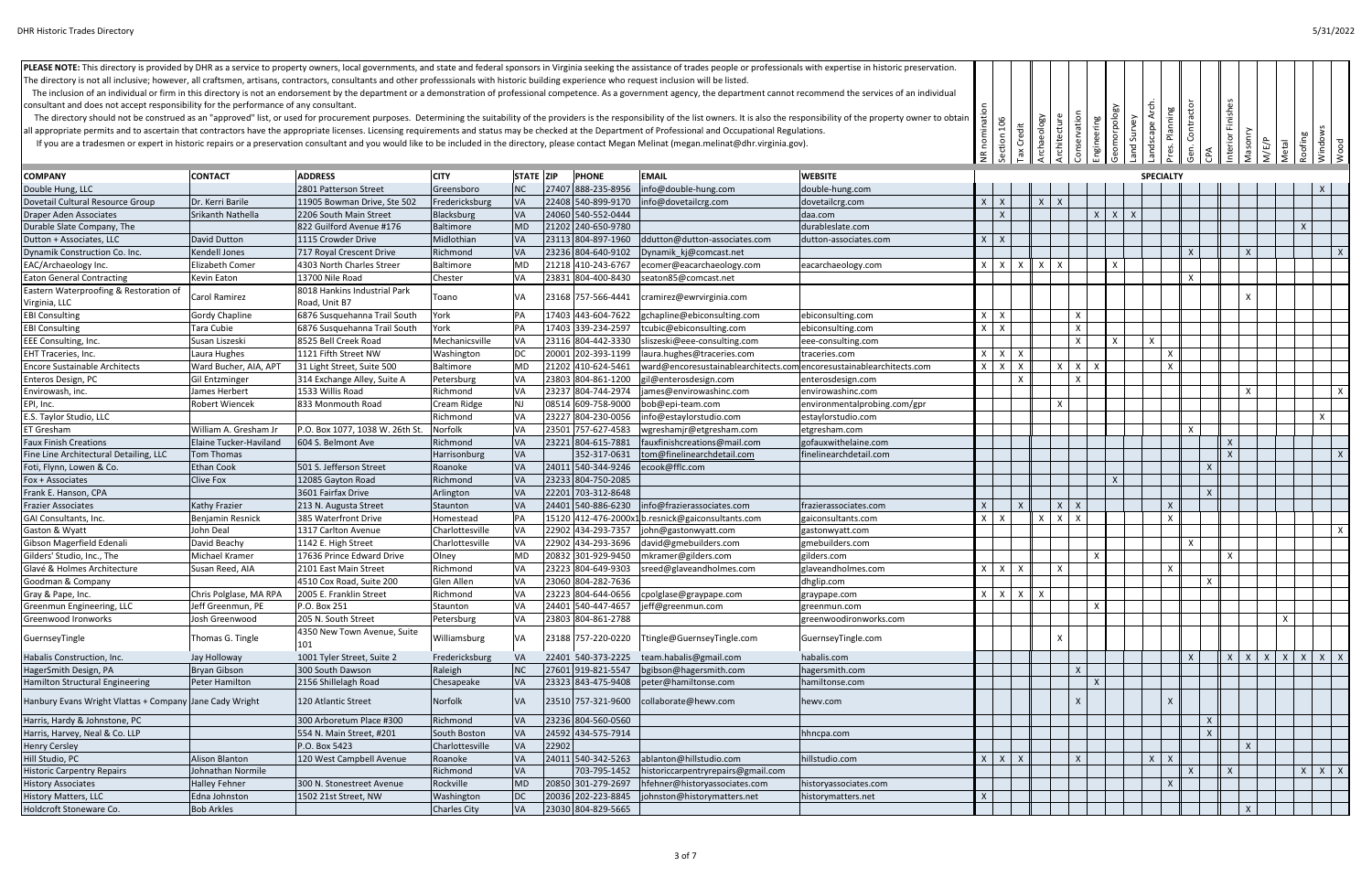| PLEASE NOTE: This directory is provided by DHR as a service to property owners, local governments, and state and federal sponsors in Virginia seeking the assistance of trades people or professionals with expertise in histo<br>The directory is not all inclusive; however, all craftsmen, artisans, contractors, consultants and other professsionals with historic building experience who request inclusion will be listed. |                        |                                               |                     |                  |       |                    |                                                                                                                                                                                                      |                                                                                                                                                                                                                                |              |                   |                          |                   |                             |              |              |                              |              |              |                     |                |              |                                        |
|-----------------------------------------------------------------------------------------------------------------------------------------------------------------------------------------------------------------------------------------------------------------------------------------------------------------------------------------------------------------------------------------------------------------------------------|------------------------|-----------------------------------------------|---------------------|------------------|-------|--------------------|------------------------------------------------------------------------------------------------------------------------------------------------------------------------------------------------------|--------------------------------------------------------------------------------------------------------------------------------------------------------------------------------------------------------------------------------|--------------|-------------------|--------------------------|-------------------|-----------------------------|--------------|--------------|------------------------------|--------------|--------------|---------------------|----------------|--------------|----------------------------------------|
|                                                                                                                                                                                                                                                                                                                                                                                                                                   |                        |                                               |                     |                  |       |                    |                                                                                                                                                                                                      | The inclusion of an individual or firm in this directory is not an endorsement by the department or a demonstration of professional competence. As a government agency, the department cannot recommend the services of an ind |              |                   |                          |                   |                             |              |              |                              |              |              |                     |                |              |                                        |
| consultant and does not accept responsibility for the performance of any consultant.                                                                                                                                                                                                                                                                                                                                              |                        |                                               |                     |                  |       |                    |                                                                                                                                                                                                      |                                                                                                                                                                                                                                |              |                   |                          |                   |                             |              |              |                              |              |              |                     |                |              |                                        |
|                                                                                                                                                                                                                                                                                                                                                                                                                                   |                        |                                               |                     |                  |       |                    |                                                                                                                                                                                                      | The directory should not be construed as an "approved" list, or used for procurement purposes. Determining the suitability of the providers is the responsibility of the list owners. It is also the responsibility of the pro |              |                   |                          |                   |                             |              |              | Arch                         |              |              | Finishes            |                |              |                                        |
| all appropriate permits and to ascertain that contractors have the appropriate licenses. Licensing requirements and status may be checked at the Department of Professional and Occupational Regulations.                                                                                                                                                                                                                         |                        |                                               |                     |                  |       |                    |                                                                                                                                                                                                      |                                                                                                                                                                                                                                |              | 106<br>Credit     | chaeology                |                   |                             |              |              | Planning                     | Contract     |              |                     |                |              |                                        |
|                                                                                                                                                                                                                                                                                                                                                                                                                                   |                        |                                               |                     |                  |       |                    | If you are a tradesmen or expert in historic repairs or a preservation consultant and you would like to be included in the directory, please contact Megan Melinat (megan melinat@dhr.virginia.gov). |                                                                                                                                                                                                                                |              |                   |                          |                   |                             |              |              |                              |              |              |                     |                |              |                                        |
|                                                                                                                                                                                                                                                                                                                                                                                                                                   |                        |                                               |                     |                  |       |                    |                                                                                                                                                                                                      |                                                                                                                                                                                                                                |              |                   |                          | Architecture      | Conservation<br>Engineering | Geomorpology | Land Survey  | Landscape<br>Pres.           |              |              | Masonry<br>Interior | M/E/P<br>Metal | Roofing      | Windows                                |
|                                                                                                                                                                                                                                                                                                                                                                                                                                   |                        |                                               |                     |                  |       |                    |                                                                                                                                                                                                      |                                                                                                                                                                                                                                |              |                   |                          |                   |                             |              |              |                              |              |              |                     |                |              |                                        |
| <b>COMPANY</b>                                                                                                                                                                                                                                                                                                                                                                                                                    | <b>CONTACT</b>         | <b>ADDRESS</b>                                | <b>CITY</b>         | <b>STATE ZIP</b> |       | PHONE              | <b>EMAIL</b>                                                                                                                                                                                         | <b>WEBSITE</b>                                                                                                                                                                                                                 |              |                   |                          |                   |                             |              |              | <b>SPECIALTY</b>             |              |              |                     |                |              |                                        |
| Double Hung, LLC                                                                                                                                                                                                                                                                                                                                                                                                                  |                        | 2801 Patterson Street                         | Greensboro          | <b>NC</b>        |       | 27407 888-235-8956 | info@double-hung.com                                                                                                                                                                                 | double-hung.com                                                                                                                                                                                                                |              |                   |                          |                   |                             |              |              |                              |              |              |                     |                |              | $\mathsf{X}$                           |
| Dovetail Cultural Resource Group                                                                                                                                                                                                                                                                                                                                                                                                  | Dr. Kerri Barile       | 11905 Bowman Drive, Ste 502                   | Fredericksburg      | VA               |       | 22408 540-899-9170 | info@dovetailcrg.com                                                                                                                                                                                 | dovetailcrg.com                                                                                                                                                                                                                | $X \mid X$   |                   |                          | $X \mid X$        |                             |              |              |                              |              |              |                     |                |              |                                        |
| <b>Draper Aden Associates</b>                                                                                                                                                                                                                                                                                                                                                                                                     | Srikanth Nathella      | 2206 South Main Street                        | Blacksburg          | VA               |       | 24060 540-552-0444 |                                                                                                                                                                                                      | daa.com                                                                                                                                                                                                                        |              | $\mathsf{X}$      |                          |                   |                             | $X$ $X$      | $\mathsf{X}$ |                              |              |              |                     |                |              |                                        |
| Durable Slate Company, The                                                                                                                                                                                                                                                                                                                                                                                                        |                        | 822 Guilford Avenue #176                      | Baltimore           | <b>MD</b>        |       | 21202 240-650-9780 |                                                                                                                                                                                                      | durableslate.com                                                                                                                                                                                                               |              |                   |                          |                   |                             |              |              |                              |              |              |                     |                | $\mathsf{x}$ |                                        |
| Dutton + Associates, LLC                                                                                                                                                                                                                                                                                                                                                                                                          | David Dutton           | 1115 Crowder Drive                            | Midlothian          | VA               |       | 23113 804-897-1960 | ddutton@dutton-associates.com                                                                                                                                                                        | dutton-associates.com                                                                                                                                                                                                          | $X \mid X$   |                   |                          |                   |                             |              |              |                              |              |              |                     |                |              |                                        |
| Dynamik Construction Co. Inc.                                                                                                                                                                                                                                                                                                                                                                                                     | Kendell Jones          | 717 Royal Crescent Drive                      | Richmond            | VA               |       | 23236 804-640-9102 | Dynamik kj@comcast.net                                                                                                                                                                               |                                                                                                                                                                                                                                |              |                   |                          |                   |                             |              |              |                              |              |              | $\mathsf{x}$        |                |              | $\mathsf{X}$                           |
| EAC/Archaeology Inc.                                                                                                                                                                                                                                                                                                                                                                                                              | <b>Elizabeth Comer</b> | 4303 North Charles Streer                     | Baltimore           | <b>MD</b>        |       | 21218 410-243-6767 | ecomer@eacarchaeology.com                                                                                                                                                                            | eacarchaeology.com                                                                                                                                                                                                             | X            | X X               |                          | $X \mid X$        |                             | $\mathsf{x}$ |              |                              |              |              |                     |                |              |                                        |
| <b>Eaton General Contracting</b>                                                                                                                                                                                                                                                                                                                                                                                                  | Kevin Eaton            | 13700 Nile Road                               | Chester             | VA               |       | 23831 804-400-8430 | seaton85@comcast.net                                                                                                                                                                                 |                                                                                                                                                                                                                                |              |                   |                          |                   |                             |              |              |                              | $\times$     |              |                     |                |              |                                        |
| Eastern Waterproofing & Restoration of<br>Virginia, LLC                                                                                                                                                                                                                                                                                                                                                                           | Carol Ramirez          | 8018 Hankins Industrial Park<br>Road, Unit B7 | Toano               | VA.              |       | 23168 757-566-4441 | cramirez@ewrvirginia.com                                                                                                                                                                             |                                                                                                                                                                                                                                |              |                   |                          |                   |                             |              |              |                              |              |              |                     |                |              |                                        |
| <b>EBI Consulting</b>                                                                                                                                                                                                                                                                                                                                                                                                             | Gordy Chapline         | 6876 Susquehanna Trail South                  | York                | PA               |       | 17403 443-604-7622 | gchapline@ebiconsulting.com                                                                                                                                                                          | ebiconsulting.com                                                                                                                                                                                                              | $X \mid X$   |                   |                          |                   | X                           |              |              |                              |              |              |                     |                |              |                                        |
| <b>EBI Consulting</b>                                                                                                                                                                                                                                                                                                                                                                                                             | Tara Cubie             | 6876 Susquehanna Trail South                  | York                | PA               |       | 17403 339-234-2597 | tcubic@ebiconsulting.com                                                                                                                                                                             | ebiconsulting.com                                                                                                                                                                                                              | $X \mid X$   |                   |                          |                   | Χ                           |              |              |                              |              |              |                     |                |              |                                        |
| EEE Consulting, Inc.                                                                                                                                                                                                                                                                                                                                                                                                              | Susan Liszeski         | 8525 Bell Creek Road                          | Mechanicsville      | VA               |       | 23116 804-442-3330 | sliszeski@eee-consulting.com                                                                                                                                                                         | eee-consulting.com                                                                                                                                                                                                             |              |                   |                          |                   | X                           | <b>X</b>     |              | $\mathsf{X}$                 |              |              |                     |                |              |                                        |
| EHT Traceries, Inc.                                                                                                                                                                                                                                                                                                                                                                                                               | Laura Hughes           | 1121 Fifth Street NW                          | Washington          | DC               |       | 20001 202-393-1199 | laura.hughes@traceries.com                                                                                                                                                                           | traceries.com                                                                                                                                                                                                                  |              | $X \mid X \mid X$ |                          |                   |                             |              |              | X                            |              |              |                     |                |              |                                        |
| <b>Encore Sustainable Architects</b>                                                                                                                                                                                                                                                                                                                                                                                              | Ward Bucher, AIA, APT  | 31 Light Street, Suite 500                    | Baltimore           | MD               |       | 21202 410-624-5461 | $\alpha$ ward@encoresustainablearchitects.com encoresustainablearchitects.com                                                                                                                        |                                                                                                                                                                                                                                |              | $x \mid x$        |                          | X                 | $\mathsf{x}$<br>X           |              |              | $\boldsymbol{\mathsf{x}}$    |              |              |                     |                |              |                                        |
| Enteros Design, PC                                                                                                                                                                                                                                                                                                                                                                                                                | Gil Entzminger         | 314 Exchange Alley, Suite A                   | Petersburg          | VA               |       | 23803 804-861-1200 | gil@enterosdesign.com                                                                                                                                                                                | enterosdesign.com                                                                                                                                                                                                              |              | $\mathsf{x}$      |                          |                   | X                           |              |              |                              |              |              |                     |                |              |                                        |
| Envirowash, inc.                                                                                                                                                                                                                                                                                                                                                                                                                  | James Herbert          | 1533 Willis Road                              | Richmond            | VA               |       | 23237 804-744-2974 | james@envirowashinc.com                                                                                                                                                                              | envirowashinc.com                                                                                                                                                                                                              |              |                   |                          |                   |                             |              |              |                              |              |              | $\mathsf{x}$        |                |              | $\mathsf{X}$                           |
| EPI, Inc.                                                                                                                                                                                                                                                                                                                                                                                                                         | Robert Wiencek         | 833 Monmouth Road                             | Cream Ridge         | <b>NJ</b>        |       | 08514 609-758-9000 | bob@epi-team.com                                                                                                                                                                                     | environmentalprobing.com/gpr                                                                                                                                                                                                   |              |                   |                          | X                 |                             |              |              |                              |              |              |                     |                |              |                                        |
| E.S. Taylor Studio, LLC                                                                                                                                                                                                                                                                                                                                                                                                           |                        |                                               | Richmond            | VA               |       | 23227 804-230-0056 | info@estaylorstudio.com                                                                                                                                                                              | estaylorstudio.com                                                                                                                                                                                                             |              |                   |                          |                   |                             |              |              |                              |              |              |                     |                |              | $\times$                               |
| ET Gresham                                                                                                                                                                                                                                                                                                                                                                                                                        | William A. Gresham Jr  | P.O. Box 1077, 1038 W. 26th St.               | Norfolk             | VA               |       | 23501 757-627-4583 | wgreshamjr@etgresham.com                                                                                                                                                                             | etgresham.com                                                                                                                                                                                                                  |              |                   |                          |                   |                             |              |              |                              | X            |              |                     |                |              |                                        |
| <b>Faux Finish Creations</b>                                                                                                                                                                                                                                                                                                                                                                                                      | Elaine Tucker-Haviland | 604 S. Belmont Ave                            | Richmond            | VA               |       | 23221 804-615-7881 | fauxfinishcreations@mail.com                                                                                                                                                                         | gofauxwithelaine.com                                                                                                                                                                                                           |              |                   |                          |                   |                             |              |              |                              |              |              | $\mathsf{x}$        |                |              |                                        |
| Fine Line Architectural Detailing, LLC                                                                                                                                                                                                                                                                                                                                                                                            | Tom Thomas             |                                               | Harrisonburg        | VA               |       | 352-317-0631       | tom@finelinearchdetail.com                                                                                                                                                                           | finelinearchdetail.com                                                                                                                                                                                                         |              |                   |                          |                   |                             |              |              |                              |              |              | $\mathsf{X}$        |                |              | $\boldsymbol{\mathsf{X}}$              |
| Foti, Flynn, Lowen & Co.                                                                                                                                                                                                                                                                                                                                                                                                          | <b>Ethan Cook</b>      | 501 S. Jefferson Street                       | Roanoke             | VA               |       | 24011 540-344-9246 | ecook@fflc.com                                                                                                                                                                                       |                                                                                                                                                                                                                                |              |                   |                          |                   |                             |              |              |                              |              | $\mathsf{x}$ |                     |                |              |                                        |
| Fox + Associates                                                                                                                                                                                                                                                                                                                                                                                                                  | Clive Fox              | 12085 Gayton Road                             | Richmond            | VA               |       | 23233 804-750-2085 |                                                                                                                                                                                                      |                                                                                                                                                                                                                                |              |                   |                          |                   |                             | $\mathsf{X}$ |              |                              |              |              |                     |                |              |                                        |
| Frank E. Hanson, CPA                                                                                                                                                                                                                                                                                                                                                                                                              |                        | 3601 Fairfax Drive                            | Arlington           | VA               |       | 22201 703-312-8648 |                                                                                                                                                                                                      |                                                                                                                                                                                                                                |              |                   |                          |                   |                             |              |              |                              |              | $\mathsf{x}$ |                     |                |              |                                        |
| <b>Frazier Associates</b>                                                                                                                                                                                                                                                                                                                                                                                                         | <b>Kathy Frazier</b>   | 213 N. Augusta Street                         | Staunton            | VA               |       | 24401 540-886-6230 | info@frazierassociates.com                                                                                                                                                                           | frazierassociates.com                                                                                                                                                                                                          | $\mathsf{X}$ | $\mathsf{X}$      |                          | $X$ $X$           |                             |              |              | $\mathsf{X}$                 |              |              |                     |                |              |                                        |
| GAI Consultants, Inc.                                                                                                                                                                                                                                                                                                                                                                                                             | Benjamin Resnick       | 385 Waterfront Drive                          | Homestead           | PA               |       |                    | 15120 412-476-2000x1 b.resnick@gaiconsultants.com                                                                                                                                                    | gaiconsultants.com                                                                                                                                                                                                             | $X \mid X$   |                   |                          | $X \mid X \mid X$ |                             |              |              | $\times$                     |              |              |                     |                |              |                                        |
| Gaston & Wyatt                                                                                                                                                                                                                                                                                                                                                                                                                    | John Deal              | 1317 Carlton Avenue                           | Charlottesville     | VA               |       | 22902 434-293-7357 | john@gastonwyatt.com                                                                                                                                                                                 | gastonwyatt.com                                                                                                                                                                                                                |              |                   |                          |                   |                             |              |              |                              |              |              |                     |                |              | $\boldsymbol{\mathsf{x}}$              |
| Gibson Magerfield Edenali                                                                                                                                                                                                                                                                                                                                                                                                         | David Beachy           | 1142 E. High Street                           | Charlottesville     | VA               |       | 22902 434-293-3696 | david@gmebuilders.com                                                                                                                                                                                | gmebuilders.com                                                                                                                                                                                                                |              |                   |                          |                   |                             |              |              |                              | X            |              |                     |                |              |                                        |
| Gilders' Studio, Inc., The                                                                                                                                                                                                                                                                                                                                                                                                        | Michael Kramer         | 17636 Prince Edward Drive                     | Olney               | MD.              |       |                    | 20832 301-929-9450 mkramer@gilders.com                                                                                                                                                               | gilders.com                                                                                                                                                                                                                    |              |                   |                          |                   | $\mathsf{x}$                |              |              |                              |              |              | $\times$            |                |              |                                        |
| Glavé & Holmes Architecture                                                                                                                                                                                                                                                                                                                                                                                                       | Susan Reed, AIA        | 2101 East Main Street                         | Richmond            | VA               |       |                    | 23223 804-649-9303  sreed@glaveandholmes.com                                                                                                                                                         | glaveandholmes.com                                                                                                                                                                                                             |              | $X \mid X \mid X$ |                          | $\mathsf{X}$      |                             |              |              | $\times$                     |              |              |                     |                |              |                                        |
| Goodman & Company                                                                                                                                                                                                                                                                                                                                                                                                                 |                        | 4510 Cox Road, Suite 200                      | Glen Allen          | VA               |       | 23060 804-282-7636 |                                                                                                                                                                                                      | dhglip.com                                                                                                                                                                                                                     |              |                   |                          |                   |                             |              |              |                              |              | $\times$     |                     |                |              |                                        |
| Gray & Pape, Inc.                                                                                                                                                                                                                                                                                                                                                                                                                 | Chris Polglase, MA RPA | 2005 E. Franklin Street                       | Richmond            | <b>VA</b>        |       | 23223 804-644-0656 | cpolglase@graypape.com                                                                                                                                                                               | graypape.com                                                                                                                                                                                                                   |              |                   | $x \mid x \mid x \mid x$ |                   |                             |              |              |                              |              |              |                     |                |              |                                        |
| Greenmun Engineering, LLC                                                                                                                                                                                                                                                                                                                                                                                                         | Jeff Greenmun, PE      | P.O. Box 251                                  | Staunton            | <b>VA</b>        |       | 24401 540-447-4657 | jeff@greenmun.com                                                                                                                                                                                    | greenmun.com                                                                                                                                                                                                                   |              |                   |                          |                   | $\mathsf{x}$                |              |              |                              |              |              |                     |                |              |                                        |
| Greenwood Ironworks                                                                                                                                                                                                                                                                                                                                                                                                               | Josh Greenwood         | 205 N. South Street                           | Petersburg          | VA               |       | 23803 804-861-2788 |                                                                                                                                                                                                      | greenwoodironworks.com                                                                                                                                                                                                         |              |                   |                          |                   |                             |              |              |                              |              |              |                     | $\mathsf{X}$   |              |                                        |
| GuernseyTingle                                                                                                                                                                                                                                                                                                                                                                                                                    | Thomas G. Tingle       | 4350 New Town Avenue, Suite<br>101            | Williamsburg        | VA               |       | 23188 757-220-0220 | Ttingle@GuernseyTingle.com                                                                                                                                                                           | GuernseyTingle.com                                                                                                                                                                                                             |              |                   |                          | X                 |                             |              |              |                              |              |              |                     |                |              |                                        |
| Habalis Construction, Inc.                                                                                                                                                                                                                                                                                                                                                                                                        | Jay Holloway           | 1001 Tyler Street, Suite 2                    | Fredericksburg      | VA               |       |                    | 22401 540-373-2225 team.habalis@gmail.com                                                                                                                                                            | habalis.com                                                                                                                                                                                                                    |              |                   |                          |                   |                             |              |              |                              | $\mathsf{X}$ |              |                     |                |              | $x \mid x \mid x \mid x \mid x \mid x$ |
| HagerSmith Design, PA                                                                                                                                                                                                                                                                                                                                                                                                             | <b>Bryan Gibson</b>    | 300 South Dawson                              | Raleigh             | NC               |       | 27601 919-821-5547 | bgibson@hagersmith.com                                                                                                                                                                               | hagersmith.com                                                                                                                                                                                                                 |              |                   |                          |                   | $\mathsf{X}$                |              |              |                              |              |              |                     |                |              |                                        |
| <b>Hamilton Structural Engineering</b>                                                                                                                                                                                                                                                                                                                                                                                            | Peter Hamilton         | 2156 Shillelagh Road                          | Chesapeake          | VA               |       | 23323 843-475-9408 | peter@hamiltonse.com                                                                                                                                                                                 | hamiltonse.com                                                                                                                                                                                                                 |              |                   |                          |                   | $\mathsf{X}$                |              |              |                              |              |              |                     |                |              |                                        |
| Hanbury Evans Wright Vlattas + Company Jane Cady Wright                                                                                                                                                                                                                                                                                                                                                                           |                        | 120 Atlantic Street                           | Norfolk             | VA               |       | 23510 757-321-9600 | collaborate@hewv.com                                                                                                                                                                                 | hewv.com                                                                                                                                                                                                                       |              |                   |                          |                   |                             |              |              |                              |              |              |                     |                |              |                                        |
| Harris, Hardy & Johnstone, PC                                                                                                                                                                                                                                                                                                                                                                                                     |                        | 300 Arboretum Place #300                      | Richmond            | VA               |       | 23236 804-560-0560 |                                                                                                                                                                                                      |                                                                                                                                                                                                                                |              |                   |                          |                   |                             |              |              |                              |              | $\mathsf{x}$ |                     |                |              |                                        |
| Harris, Harvey, Neal & Co. LLP                                                                                                                                                                                                                                                                                                                                                                                                    |                        | 554 N. Main Street, #201                      | South Boston        | VA               |       | 24592 434-575-7914 |                                                                                                                                                                                                      | hhncpa.com                                                                                                                                                                                                                     |              |                   |                          |                   |                             |              |              |                              |              |              |                     |                |              |                                        |
| <b>Henry Cersley</b>                                                                                                                                                                                                                                                                                                                                                                                                              |                        | P.O. Box 5423                                 | Charlottesville     | VA               | 22902 |                    |                                                                                                                                                                                                      |                                                                                                                                                                                                                                |              |                   |                          |                   |                             |              |              |                              |              |              | $\mathsf{X}$        |                |              |                                        |
| Hill Studio, PC                                                                                                                                                                                                                                                                                                                                                                                                                   | Alison Blanton         | 120 West Campbell Avenue                      | Roanoke             | VA               |       | 24011 540-342-5263 | ablanton@hillstudio.com                                                                                                                                                                              | hillstudio.com                                                                                                                                                                                                                 |              | $X$ $X$ $X$       |                          |                   | $\mathsf{X}$                |              |              | $\mathsf{X}$<br>$\mathsf{x}$ |              |              |                     |                |              |                                        |
| <b>Historic Carpentry Repairs</b>                                                                                                                                                                                                                                                                                                                                                                                                 | Johnathan Normile      |                                               | Richmond            | VA               |       | 703-795-1452       | historiccarpentryrepairs@gmail.com                                                                                                                                                                   |                                                                                                                                                                                                                                |              |                   |                          |                   |                             |              |              |                              | $\mathsf{X}$ |              | $\mathsf{X}$        |                |              | $X$ $X$ $X$                            |
| <b>History Associates</b>                                                                                                                                                                                                                                                                                                                                                                                                         | <b>Halley Fehner</b>   | 300 N. Stonestreet Avenue                     | Rockville           | MD               |       | 20850 301-279-2697 | hfehner@historyassociates.com                                                                                                                                                                        | historyassociates.com                                                                                                                                                                                                          |              |                   |                          |                   |                             |              |              | $\mathsf{x}$                 |              |              |                     |                |              |                                        |
| History Matters, LLC                                                                                                                                                                                                                                                                                                                                                                                                              | Edna Johnston          | 1502 21st Street, NW                          | Washington          | <b>DC</b>        |       | 20036 202-223-8845 | johnston@historymatters.net                                                                                                                                                                          | historymatters.net                                                                                                                                                                                                             | $\mathsf{x}$ |                   |                          |                   |                             |              |              |                              |              |              |                     |                |              |                                        |
| Holdcroft Stoneware Co.                                                                                                                                                                                                                                                                                                                                                                                                           | <b>Bob Arkles</b>      |                                               | <b>Charles City</b> | VA               |       | 23030 804-829-5665 |                                                                                                                                                                                                      |                                                                                                                                                                                                                                |              |                   |                          |                   |                             |              |              |                              |              |              |                     |                |              |                                        |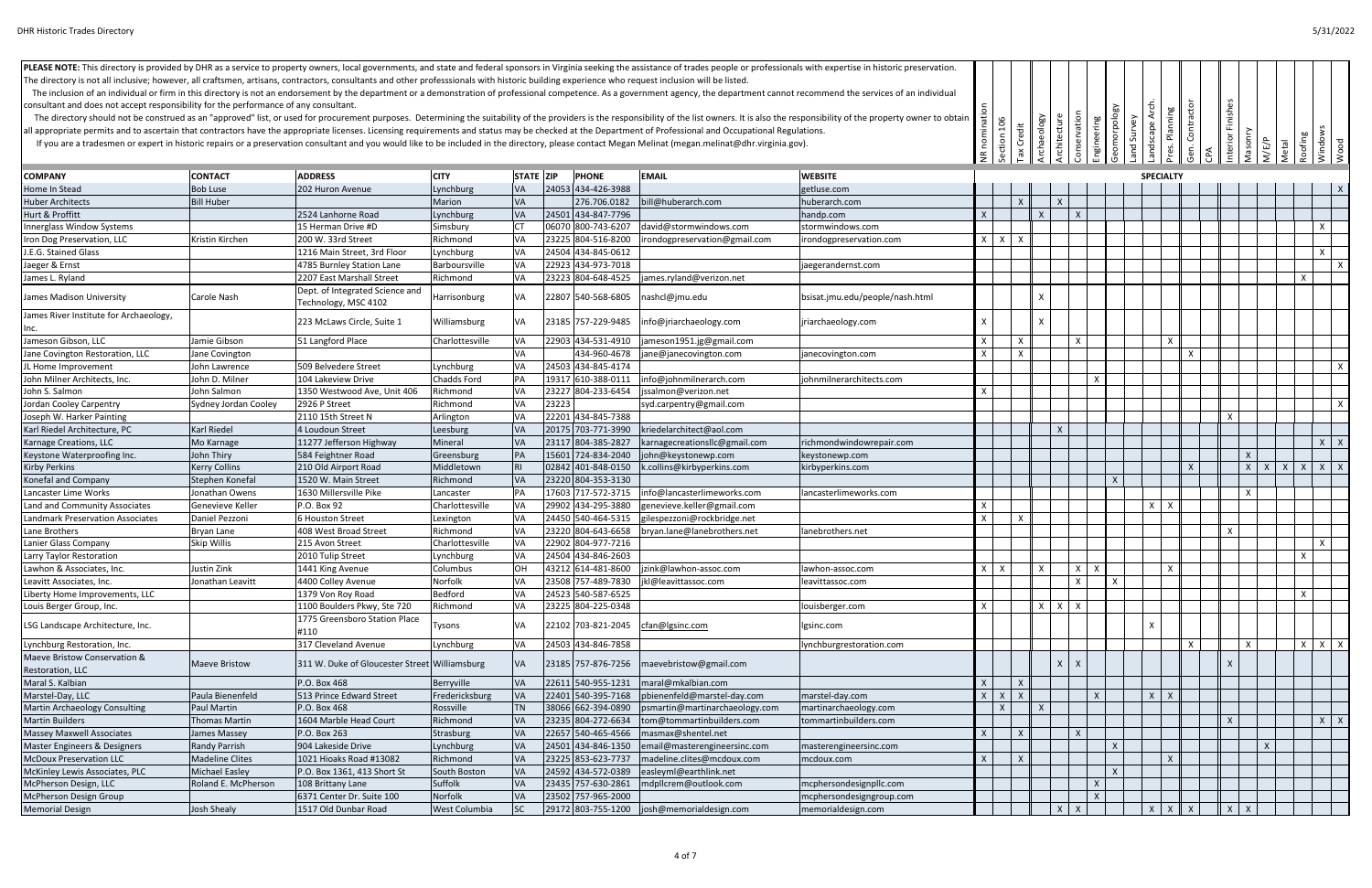|                                                                                                                                                                                                           |                        |                                               |                 |                  |                    |                                                                                                                                                                                                      | PLEASE NOTE: This directory is provided by DHR as a service to property owners, local governments, and state and federal sponsors in Virginia seeking the assistance of trades people or professionals with expertise in histo |                 |              |              |                              |                           |                            |                             |              |                                |                            |                   |                           |
|-----------------------------------------------------------------------------------------------------------------------------------------------------------------------------------------------------------|------------------------|-----------------------------------------------|-----------------|------------------|--------------------|------------------------------------------------------------------------------------------------------------------------------------------------------------------------------------------------------|--------------------------------------------------------------------------------------------------------------------------------------------------------------------------------------------------------------------------------|-----------------|--------------|--------------|------------------------------|---------------------------|----------------------------|-----------------------------|--------------|--------------------------------|----------------------------|-------------------|---------------------------|
| The directory is not all inclusive; however, all craftsmen, artisans, contractors, consultants and other professsionals with historic building experience who request inclusion will be listed.           |                        |                                               |                 |                  |                    |                                                                                                                                                                                                      |                                                                                                                                                                                                                                |                 |              |              |                              |                           |                            |                             |              |                                |                            |                   |                           |
|                                                                                                                                                                                                           |                        |                                               |                 |                  |                    |                                                                                                                                                                                                      | The inclusion of an individual or firm in this directory is not an endorsement by the department or a demonstration of professional competence. As a government agency, the department cannot recommend the services of an ind |                 |              |              |                              |                           |                            |                             |              |                                |                            |                   |                           |
| consultant and does not accept responsibility for the performance of any consultant                                                                                                                       |                        |                                               |                 |                  |                    |                                                                                                                                                                                                      |                                                                                                                                                                                                                                |                 |              |              |                              |                           |                            | <b>Arch</b>                 |              |                                |                            |                   |                           |
|                                                                                                                                                                                                           |                        |                                               |                 |                  |                    |                                                                                                                                                                                                      | The directory should not be construed as an "approved" list, or used for procurement purposes. Determining the suitability of the providers is the responsibility of the list owners. It is also the responsibility of the pro | ទ្ធ             |              |              |                              |                           |                            |                             | Contra       | Finishes                       |                            |                   |                           |
| all appropriate permits and to ascertain that contractors have the appropriate licenses. Licensing requirements and status may be checked at the Department of Professional and Occupational Regulations. |                        |                                               |                 |                  |                    |                                                                                                                                                                                                      |                                                                                                                                                                                                                                |                 | Credit       |              |                              |                           |                            |                             |              |                                |                            |                   |                           |
|                                                                                                                                                                                                           |                        |                                               |                 |                  |                    | If you are a tradesmen or expert in historic repairs or a preservation consultant and you would like to be included in the directory, please contact Megan Melinat (megan.melinat@dhr.virginia.gov). |                                                                                                                                                                                                                                | tion            |              | chaeology    | Conservation<br>Architecture | Engineering               | Geomorpolog<br>Land Survey | Pres. Planning<br>Landscape |              | Masonry<br>Interior            | M/E/P<br>Metal             | Roofing           | Windows<br>Wood           |
|                                                                                                                                                                                                           |                        |                                               |                 |                  |                    |                                                                                                                                                                                                      |                                                                                                                                                                                                                                |                 |              |              |                              |                           |                            |                             |              |                                |                            |                   |                           |
| <b>COMPANY</b>                                                                                                                                                                                            | <b>CONTACT</b>         | <b>ADDRESS</b>                                | <b>CITY</b>     | <b>STATE ZIP</b> | PHONE              | <b>EMAIL</b>                                                                                                                                                                                         | <b>WEBSITE</b>                                                                                                                                                                                                                 |                 |              |              |                              |                           |                            | <b>SPECIALTY</b>            |              |                                |                            |                   |                           |
| Home In Stead                                                                                                                                                                                             | <b>Bob Luse</b>        | 202 Huron Avenue                              | Lynchburg       | VA               | 24053 434-426-3988 |                                                                                                                                                                                                      | getluse.com                                                                                                                                                                                                                    |                 |              |              |                              |                           |                            |                             |              |                                |                            |                   | $\mathsf{X}$              |
| <b>Huber Architects</b>                                                                                                                                                                                   | <b>Bill Huber</b>      |                                               | Marion          | VA               | 276.706.0182       | bill@huberarch.com                                                                                                                                                                                   | huberarch.com                                                                                                                                                                                                                  |                 | $\mathsf{X}$ |              | $\times$                     |                           |                            |                             |              |                                |                            |                   |                           |
| Hurt & Proffitt                                                                                                                                                                                           |                        | 2524 Lanhorne Road                            | Lynchburg       | VA               | 24501 434-847-7796 |                                                                                                                                                                                                      | handp.com                                                                                                                                                                                                                      | $\mathsf{x}$    |              | $\mathsf{x}$ | $\mathsf{X}$                 |                           |                            |                             |              |                                |                            |                   |                           |
| Innerglass Window Systems                                                                                                                                                                                 |                        | 15 Herman Drive #D                            | Simsbury        | CT               | 06070 800-743-6207 | david@stormwindows.com                                                                                                                                                                               | stormwindows.com                                                                                                                                                                                                               |                 |              |              |                              |                           |                            |                             |              |                                |                            |                   | $\mathsf{X}$              |
| Iron Dog Preservation, LLC                                                                                                                                                                                | Kristin Kirchen        | 200 W. 33rd Street                            | Richmond        | VA               | 23225 804-516-8200 | irondogpreservation@gmail.com                                                                                                                                                                        | irondogpreservation.com                                                                                                                                                                                                        | $X$   $X$   $X$ |              |              |                              |                           |                            |                             |              |                                |                            |                   |                           |
| J.E.G. Stained Glass                                                                                                                                                                                      |                        | 1216 Main Street, 3rd Floor                   | Lynchburg       | VA               | 24504 434-845-0612 |                                                                                                                                                                                                      |                                                                                                                                                                                                                                |                 |              |              |                              |                           |                            |                             |              |                                |                            |                   | $\times$                  |
| Jaeger & Ernst                                                                                                                                                                                            |                        | 4785 Burnley Station Lane                     | Barboursville   | VA               | 22923 434-973-7018 |                                                                                                                                                                                                      | jaegerandernst.com                                                                                                                                                                                                             |                 |              |              |                              |                           |                            |                             |              |                                |                            |                   | $\boldsymbol{\mathsf{x}}$ |
| James L. Ryland                                                                                                                                                                                           |                        | 2207 East Marshall Street                     | Richmond        | VA               | 23223 804-648-4525 | james.ryland@verizon.net                                                                                                                                                                             |                                                                                                                                                                                                                                |                 |              |              |                              |                           |                            |                             |              |                                |                            | $\times$          |                           |
|                                                                                                                                                                                                           |                        | Dept. of Integrated Science and               |                 |                  |                    |                                                                                                                                                                                                      |                                                                                                                                                                                                                                |                 |              |              |                              |                           |                            |                             |              |                                |                            |                   |                           |
| James Madison University                                                                                                                                                                                  | Carole Nash            | Technology, MSC 4102                          | Harrisonburg    | VA               | 22807 540-568-6805 | nashcl@jmu.edu                                                                                                                                                                                       | bsisat.jmu.edu/people/nash.html                                                                                                                                                                                                |                 |              |              |                              |                           |                            |                             |              |                                |                            |                   |                           |
| James River Institute for Archaeology,                                                                                                                                                                    |                        | 223 McLaws Circle, Suite 1                    | Williamsburg    | VA               | 23185 757-229-9485 | info@jriarchaeology.com                                                                                                                                                                              | jriarchaeology.com                                                                                                                                                                                                             |                 |              | Y            |                              |                           |                            |                             |              |                                |                            |                   |                           |
| Inc.                                                                                                                                                                                                      |                        |                                               |                 |                  |                    |                                                                                                                                                                                                      |                                                                                                                                                                                                                                |                 |              |              |                              |                           |                            |                             |              |                                |                            |                   |                           |
| Jameson Gibson, LLC                                                                                                                                                                                       | Jamie Gibson           | 51 Langford Place                             | Charlottesville | VA               | 22903 434-531-4910 | jameson1951.jg@gmail.com                                                                                                                                                                             |                                                                                                                                                                                                                                | X               | $\times$     |              | X                            |                           |                            | $\times$                    |              |                                |                            |                   |                           |
| Jane Covington Restoration, LLC                                                                                                                                                                           | Jane Covington         |                                               |                 | VA               | 434-960-4678       | jane@janecovington.com                                                                                                                                                                               | janecovington.com                                                                                                                                                                                                              | X               | $\mathsf{x}$ |              |                              |                           |                            |                             | X            |                                |                            |                   |                           |
| IL Home Improvement                                                                                                                                                                                       | John Lawrence          | 509 Belvedere Street                          | Lynchburg       | VA               | 24503 434-845-4174 |                                                                                                                                                                                                      |                                                                                                                                                                                                                                |                 |              |              |                              |                           |                            |                             |              |                                |                            |                   | $\boldsymbol{\mathsf{x}}$ |
| John Milner Architects, Inc.                                                                                                                                                                              | John D. Milner         | 104 Lakeview Drive                            | Chadds Ford     | PA               | 19317 610-388-0111 | info@johnmilnerarch.com                                                                                                                                                                              | johnmilnerarchitects.com                                                                                                                                                                                                       |                 |              |              |                              | $\mathsf{x}$              |                            |                             |              |                                |                            |                   |                           |
| John S. Salmon                                                                                                                                                                                            | John Salmon            | 1350 Westwood Ave, Unit 406                   | Richmond        | VA               | 23227 804-233-6454 | jssalmon@verizon.net                                                                                                                                                                                 |                                                                                                                                                                                                                                | $\mathsf{X}$    |              |              |                              |                           |                            |                             |              |                                |                            |                   |                           |
| Jordan Cooley Carpentry                                                                                                                                                                                   | Sydney Jordan Cooley   | 2926 P Street                                 | Richmond        | VA               | 23223              | syd.carpentry@gmail.com                                                                                                                                                                              |                                                                                                                                                                                                                                |                 |              |              |                              |                           |                            |                             |              |                                |                            |                   | $\boldsymbol{\mathsf{x}}$ |
| Joseph W. Harker Painting                                                                                                                                                                                 |                        | 2110 15th Street N                            | Arlington       | VA               | 22201 434-845-7388 |                                                                                                                                                                                                      |                                                                                                                                                                                                                                |                 |              |              |                              |                           |                            |                             |              | X                              |                            |                   |                           |
| Karl Riedel Architecture, PC                                                                                                                                                                              | <b>Karl Riedel</b>     | 4 Loudoun Street                              | Leesburg        | VA               | 20175 703-771-3990 | kriedelarchitect@aol.com                                                                                                                                                                             |                                                                                                                                                                                                                                |                 |              |              | $\boldsymbol{\mathsf{X}}$    |                           |                            |                             |              |                                |                            |                   |                           |
| Karnage Creations, LLC                                                                                                                                                                                    | Mo Karnage             | 11277 Jefferson Highway                       | Mineral         | VA               | 23117 804-385-2827 | karnagecreationsllc@gmail.com                                                                                                                                                                        | richmondwindowrepair.com                                                                                                                                                                                                       |                 |              |              |                              |                           |                            |                             |              |                                |                            |                   | $x \mid x$                |
| Keystone Waterproofing Inc.                                                                                                                                                                               | John Thiry             | 584 Feightner Road                            | Greensburg      | PA               | 15601 724-834-2040 | john@keystonewp.com                                                                                                                                                                                  | keystonewp.com                                                                                                                                                                                                                 |                 |              |              |                              |                           |                            |                             |              | $\mathsf{X}$                   |                            |                   |                           |
| <b>Kirby Perkins</b>                                                                                                                                                                                      | <b>Kerry Collins</b>   | 210 Old Airport Road                          | Middletown      | <b>RI</b>        | 02842 401-848-0150 | k.collins@kirbyperkins.com                                                                                                                                                                           | kirbyperkins.com                                                                                                                                                                                                               |                 |              |              |                              |                           |                            |                             | $\mathsf{X}$ |                                | $x \mid x$<br>$\mathsf{X}$ | $x \times x$      |                           |
| Konefal and Company                                                                                                                                                                                       | Stephen Konefal        | 1520 W. Main Street                           | Richmond        | VA               | 23220 804-353-3130 |                                                                                                                                                                                                      |                                                                                                                                                                                                                                |                 |              |              |                              |                           | $\mathbf{x}$               |                             |              |                                |                            |                   |                           |
| Lancaster Lime Works                                                                                                                                                                                      | Jonathan Owens         | 1630 Millersville Pike                        | Lancaster       | PA               | 17603 717-572-3715 | info@lancasterlimeworks.com                                                                                                                                                                          | lancasterlimeworks.com                                                                                                                                                                                                         |                 |              |              |                              |                           |                            |                             |              | $\times$                       |                            |                   |                           |
| Land and Community Associates                                                                                                                                                                             | Genevieve Keller       | P.O. Box 92                                   | Charlottesville | VA               | 29902 434-295-3880 | genevieve.keller@gmail.com                                                                                                                                                                           |                                                                                                                                                                                                                                | X               |              |              |                              |                           |                            | $x \mid x$                  |              |                                |                            |                   |                           |
| <b>Landmark Preservation Associates</b>                                                                                                                                                                   | Daniel Pezzoni         | 6 Houston Street                              | Lexington       | VA               | 24450 540-464-5315 | gilespezzoni@rockbridge.net                                                                                                                                                                          |                                                                                                                                                                                                                                | $\mathsf{X}$    | $\mathsf{X}$ |              |                              |                           |                            |                             |              |                                |                            |                   |                           |
| Lane Brothers                                                                                                                                                                                             | Bryan Lane             | 408 West Broad Street                         | Richmond        | VA               | 23220 804-643-6658 | bryan.lane@lanebrothers.net                                                                                                                                                                          | lanebrothers.net                                                                                                                                                                                                               |                 |              |              |                              |                           |                            |                             |              | Χ                              |                            |                   |                           |
| Lanier Glass Company                                                                                                                                                                                      | <b>Skip Willis</b>     | 215 Avon Street                               | Charlottesville | VA               | 22902 804-977-7216 |                                                                                                                                                                                                      |                                                                                                                                                                                                                                |                 |              |              |                              |                           |                            |                             |              |                                |                            |                   | $\times$                  |
| Larry Taylor Restoration                                                                                                                                                                                  |                        | 2010 Tulip Street                             | Lynchburg       | VA               | 24504 434-846-2603 |                                                                                                                                                                                                      |                                                                                                                                                                                                                                |                 |              |              |                              |                           |                            |                             |              |                                |                            | $\mathsf{x}$      |                           |
| Lawhon & Associates, Inc.                                                                                                                                                                                 | Justin Zink            | 1441 King Avenue                              | Columbus        | OН               | 43212 614-481-8600 | jzink@lawhon-assoc.com                                                                                                                                                                               | lawhon-assoc.com                                                                                                                                                                                                               | $X \mid X$      |              | X            | X                            | $\boldsymbol{\mathsf{x}}$ |                            |                             | $\times$     |                                |                            |                   |                           |
| Leavitt Associates, Inc.                                                                                                                                                                                  | Jonathan Leavitt       | 4400 Colley Avenue                            | Norfolk         | VA               | 23508 757-489-7830 | jkl@leavittassoc.com                                                                                                                                                                                 | leavittassoc.com                                                                                                                                                                                                               |                 |              |              | $\mathsf{x}$                 |                           | $\mathbf{v}$               |                             |              |                                |                            |                   |                           |
| Liberty Home Improvements, LLC                                                                                                                                                                            |                        | 1379 Von Roy Road                             | Bedford         | VA               | 24523 540-587-6525 |                                                                                                                                                                                                      |                                                                                                                                                                                                                                |                 |              |              |                              |                           |                            |                             |              |                                |                            | $\mathsf{X}$      |                           |
| Louis Berger Group, Inc.                                                                                                                                                                                  |                        | 1100 Boulders Pkwy, Ste 720                   | Richmond        | VA               | 23225 804-225-0348 |                                                                                                                                                                                                      | louisberger.com                                                                                                                                                                                                                | X               |              |              | $X \mid X \mid X$            |                           |                            |                             |              |                                |                            |                   |                           |
| LSG Landscape Architecture, Inc.                                                                                                                                                                          |                        | 1775 Greensboro Station Place<br>#110         | Tysons          | VA               | 22102 703-821-2045 | cfan@lgsinc.com                                                                                                                                                                                      | lgsinc.com                                                                                                                                                                                                                     |                 |              |              |                              |                           |                            | $\boldsymbol{\mathsf{x}}$   |              |                                |                            |                   |                           |
| Lynchburg Restoration, Inc.                                                                                                                                                                               |                        | 317 Cleveland Avenue                          | Lynchburg       | VA               | 24503 434-846-7858 |                                                                                                                                                                                                      | lynchburgrestoration.com                                                                                                                                                                                                       |                 |              |              |                              |                           |                            |                             | $\times$     | $\times$                       |                            | $X \mid X \mid X$ |                           |
| Maeve Bristow Conservation &                                                                                                                                                                              |                        |                                               |                 |                  |                    |                                                                                                                                                                                                      |                                                                                                                                                                                                                                |                 |              |              |                              |                           |                            |                             |              |                                |                            |                   |                           |
| Restoration, LLC                                                                                                                                                                                          | Maeve Bristow          | 311 W. Duke of Gloucester Street Williamsburg |                 | VA               | 23185 757-876-7256 | maevebristow@gmail.com                                                                                                                                                                               |                                                                                                                                                                                                                                |                 |              |              | $\mathsf{X}$<br>$\mathsf{x}$ |                           |                            |                             |              | $\mathsf{X}$                   |                            |                   |                           |
| Maral S. Kalbian                                                                                                                                                                                          |                        | P.O. Box 468                                  | Berryville      | VA               | 22611 540-955-1231 | maral@mkalbian.com                                                                                                                                                                                   |                                                                                                                                                                                                                                | $\times$        | $\mathsf{X}$ |              |                              |                           |                            |                             |              |                                |                            |                   |                           |
| Marstel-Day, LLC                                                                                                                                                                                          | Paula Bienenfeld       | 513 Prince Edward Street                      | Fredericksburg  | VA               | 22401 540-395-7168 | pbienenfeld@marstel-day.com                                                                                                                                                                          | marstel-day.com                                                                                                                                                                                                                | $X$ $X$ $X$     |              |              |                              | $\mathsf{X}$              |                            | $X \mid X$                  |              |                                |                            |                   |                           |
| <b>Martin Archaeology Consulting</b>                                                                                                                                                                      | Paul Martin            | P.O. Box 468                                  | Rossville       | <b>TN</b>        | 38066 662-394-0890 | psmartin@martinarchaeology.com                                                                                                                                                                       | martinarchaeology.com                                                                                                                                                                                                          | $\mathsf{X}$    |              | $\mathsf{X}$ |                              |                           |                            |                             |              |                                |                            |                   |                           |
| <b>Martin Builders</b>                                                                                                                                                                                    | <b>Thomas Martin</b>   | 1604 Marble Head Court                        | Richmond        | VA               | 23235 804-272-6634 | tom@tommartinbuilders.com                                                                                                                                                                            | tommartinbuilders.com                                                                                                                                                                                                          |                 |              |              |                              |                           |                            |                             |              | $\mathsf{X}$                   |                            |                   | $X \mid X$                |
| <b>Massey Maxwell Associates</b>                                                                                                                                                                          | James Massey           | P.O. Box 263                                  | Strasburg       | VA               | 22657 540-465-4566 | masmax@shentel.net                                                                                                                                                                                   |                                                                                                                                                                                                                                | X               | $\mathsf{X}$ |              | $\mathsf{x}$                 |                           |                            |                             |              |                                |                            |                   |                           |
| <b>Master Engineers &amp; Designers</b>                                                                                                                                                                   | <b>Randy Parrish</b>   | 904 Lakeside Drive                            | Lynchburg       | VA               | 24501 434-846-1350 | email@masterengineersinc.com                                                                                                                                                                         | masterengineersinc.com                                                                                                                                                                                                         |                 |              |              |                              |                           |                            |                             |              |                                | $\boldsymbol{\mathsf{X}}$  |                   |                           |
| <b>McDoux Preservation LLC</b>                                                                                                                                                                            | <b>Madeline Clites</b> | 1021 Hioaks Road #13082                       | Richmond        | VA               | 23225 853-623-7737 | madeline.clites@mcdoux.com                                                                                                                                                                           | mcdoux.com                                                                                                                                                                                                                     | $\mathsf{X}$    | $\mathsf{X}$ |              |                              |                           |                            | $\mathsf{X}$                |              |                                |                            |                   |                           |
| McKinley Lewis Associates, PLC                                                                                                                                                                            | <b>Michael Easley</b>  | P.O. Box 1361, 413 Short St                   | South Boston    | VA               | 24592 434-572-0389 | easleyml@earthlink.net                                                                                                                                                                               |                                                                                                                                                                                                                                |                 |              |              |                              |                           | $\mathsf{X}$               |                             |              |                                |                            |                   |                           |
| McPherson Design, LLC                                                                                                                                                                                     | Roland E. McPherson    | 108 Brittany Lane                             | Suffolk         | VA               | 23435 757-630-2861 | mdpllcrem@outlook.com                                                                                                                                                                                | mcphersondesignpllc.com                                                                                                                                                                                                        |                 |              |              |                              | $\mathsf{X}$              |                            |                             |              |                                |                            |                   |                           |
| McPherson Design Group                                                                                                                                                                                    |                        | 6371 Center Dr. Suite 100                     | Norfolk         | VA               | 23502 757-965-2000 |                                                                                                                                                                                                      | mcphersondesigngroup.com                                                                                                                                                                                                       |                 |              |              |                              | $\mathsf{X}$              |                            |                             |              |                                |                            |                   |                           |
| <b>Memorial Design</b>                                                                                                                                                                                    | Josh Shealy            | 1517 Old Dunbar Road                          | West Columbia   | SC               | 29172 803-755-1200 | josh@memorialdesign.com                                                                                                                                                                              | memorialdesign.com                                                                                                                                                                                                             |                 |              |              | $\times$  <br>$\mathsf{X}$   |                           |                            | $x \mid x \mid$             | $\times$     | $\mathbf{x} \times \mathbf{x}$ |                            |                   |                           |
|                                                                                                                                                                                                           |                        |                                               |                 |                  |                    |                                                                                                                                                                                                      |                                                                                                                                                                                                                                |                 |              |              |                              |                           |                            |                             |              |                                |                            |                   |                           |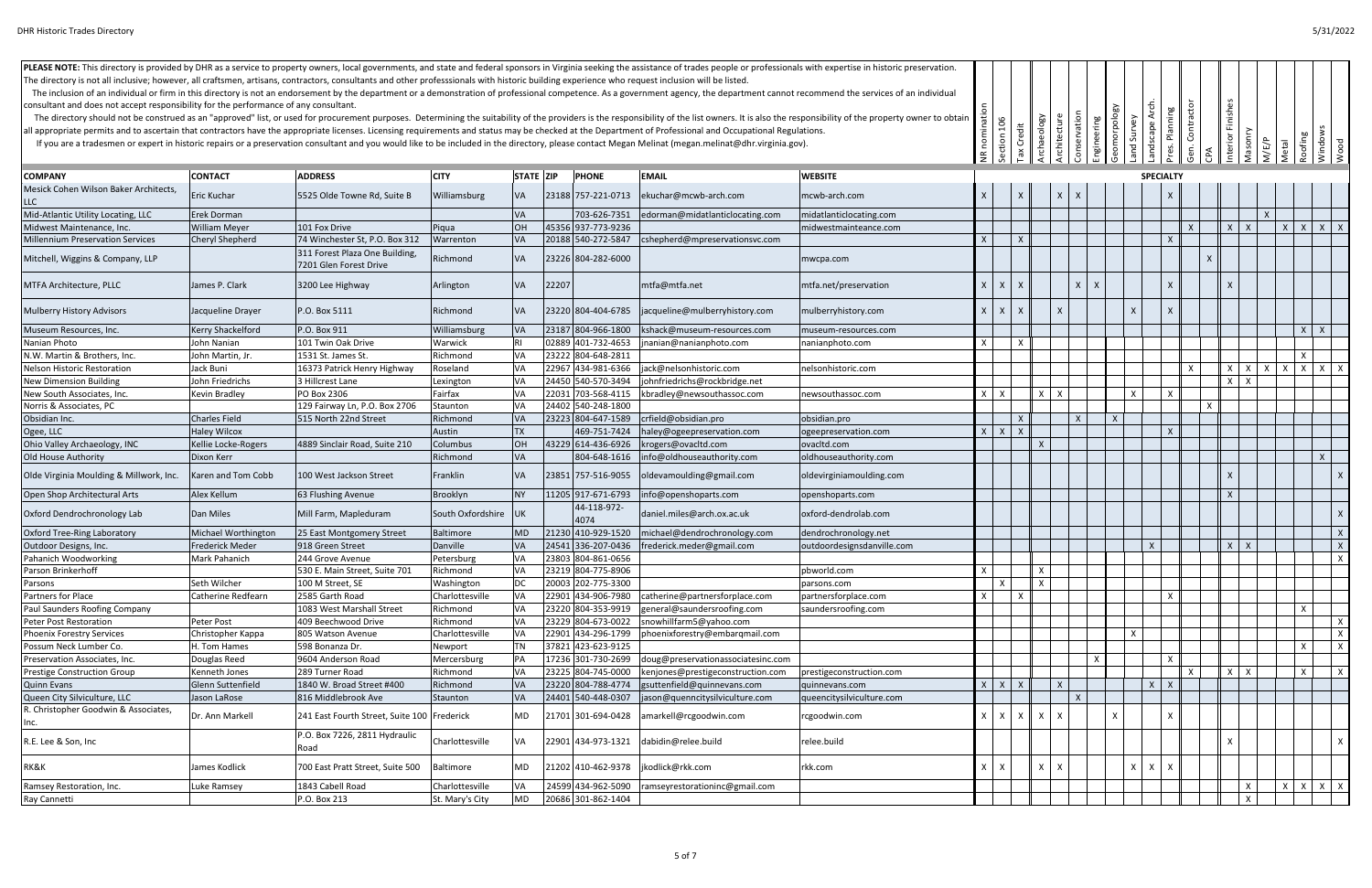| PLEASE NOTE: This directory is provided by DHR as a service to property owners, local governments, and state and federal sponsors in Virginia seeking the assistance of trades people or professionals with expertise in histo<br>The directory is not all inclusive; however, all craftsmen, artisans, contractors, consultants and other professsionals with historic building experience who request inclusion will be listed. |                      |                                                         |                   |            |       |                     | The inclusion of an individual or firm in this directory is not an endorsement by the department or a demonstration of professional competence. As a government agency, the department cannot recommend the services of an ind |                                                                                                                                                                                                                                |                   |                           |                           |                           |              |              |                    |              |                  |              |              |                                        |       |                             |                           |
|-----------------------------------------------------------------------------------------------------------------------------------------------------------------------------------------------------------------------------------------------------------------------------------------------------------------------------------------------------------------------------------------------------------------------------------|----------------------|---------------------------------------------------------|-------------------|------------|-------|---------------------|--------------------------------------------------------------------------------------------------------------------------------------------------------------------------------------------------------------------------------|--------------------------------------------------------------------------------------------------------------------------------------------------------------------------------------------------------------------------------|-------------------|---------------------------|---------------------------|---------------------------|--------------|--------------|--------------------|--------------|------------------|--------------|--------------|----------------------------------------|-------|-----------------------------|---------------------------|
| consultant and does not accept responsibility for the performance of any consultant.                                                                                                                                                                                                                                                                                                                                              |                      |                                                         |                   |            |       |                     |                                                                                                                                                                                                                                |                                                                                                                                                                                                                                |                   |                           |                           |                           |              |              |                    | ုင           |                  |              |              |                                        |       |                             |                           |
|                                                                                                                                                                                                                                                                                                                                                                                                                                   |                      |                                                         |                   |            |       |                     |                                                                                                                                                                                                                                | The directory should not be construed as an "approved" list, or used for procurement purposes. Determining the suitability of the providers is the responsibility of the list owners. It is also the responsibility of the pro |                   |                           |                           |                           |              |              |                    |              |                  |              | Finishes     |                                        |       |                             |                           |
| all appropriate permits and to ascertain that contractors have the appropriate licenses. Licensing requirements and status may be checked at the Department of Professional and Occupational Regulations.                                                                                                                                                                                                                         |                      |                                                         |                   |            |       |                     |                                                                                                                                                                                                                                |                                                                                                                                                                                                                                | nominati          | 106                       |                           |                           |              |              | Survey             |              | Planning         | Contracto    |              |                                        |       |                             |                           |
|                                                                                                                                                                                                                                                                                                                                                                                                                                   |                      |                                                         |                   |            |       |                     | If you are a tradesmen or expert in historic repairs or a preservation consultant and you would like to be included in the directory, please contact Megan Melinat (megan melinat@dhr.virginia.gov).                           |                                                                                                                                                                                                                                |                   | tion<br>පි                | Archaeology               | Architecture              | Conservation | Engineering  | Geomorpology<br>PS | andscape     |                  |              | Interior     | Masonry<br>M/E/P                       | Metal | Windows<br>Wood<br>Roofing  |                           |
|                                                                                                                                                                                                                                                                                                                                                                                                                                   |                      |                                                         |                   |            |       |                     |                                                                                                                                                                                                                                |                                                                                                                                                                                                                                | $\widetilde{\Xi}$ |                           |                           |                           |              |              |                    |              | Pres.            |              |              |                                        |       |                             |                           |
| <b>COMPANY</b>                                                                                                                                                                                                                                                                                                                                                                                                                    | <b>CONTACT</b>       | <b>ADDRESS</b>                                          | <b>CITY</b>       | STATE ZIP  |       | <b>PHONE</b>        | <b>EMAIL</b>                                                                                                                                                                                                                   | <b>WEBSITE</b>                                                                                                                                                                                                                 |                   |                           |                           |                           |              |              |                    |              | <b>SPECIALTY</b> |              |              |                                        |       |                             |                           |
| Mesick Cohen Wilson Baker Architects,                                                                                                                                                                                                                                                                                                                                                                                             |                      |                                                         |                   |            |       |                     |                                                                                                                                                                                                                                |                                                                                                                                                                                                                                |                   |                           |                           |                           |              |              |                    |              |                  |              |              |                                        |       |                             |                           |
|                                                                                                                                                                                                                                                                                                                                                                                                                                   | <b>Eric Kuchar</b>   | 5525 Olde Towne Rd, Suite B                             | Williamsburg      | VA         |       | 23188 757-221-0713  | ekuchar@mcwb-arch.com                                                                                                                                                                                                          | mcwb-arch.com                                                                                                                                                                                                                  |                   | $\times$                  |                           | X                         | $\mathsf{x}$ |              |                    |              |                  |              |              |                                        |       |                             |                           |
| Mid-Atlantic Utility Locating, LLC                                                                                                                                                                                                                                                                                                                                                                                                | <b>Erek Dorman</b>   |                                                         |                   | VA         |       | 703-626-7351        | edorman@midatlanticlocating.com                                                                                                                                                                                                | midatlanticlocating.com                                                                                                                                                                                                        |                   |                           |                           |                           |              |              |                    |              |                  |              |              | $\mathsf{X}$                           |       |                             |                           |
| Midwest Maintenance, Inc.                                                                                                                                                                                                                                                                                                                                                                                                         | <b>William Meyer</b> | 101 Fox Drive                                           | Piqua             | OH         |       | 45356 937-773-9236  |                                                                                                                                                                                                                                | midwestmainteance.com                                                                                                                                                                                                          |                   |                           |                           |                           |              |              |                    |              |                  | $\mathsf{X}$ | $\mathsf{X}$ | $\mathsf{X}$                           |       | $X$ $X$ $X$ $X$             |                           |
| <b>Millennium Preservation Services</b>                                                                                                                                                                                                                                                                                                                                                                                           | Cheryl Shepherd      | 74 Winchester St, P.O. Box 312                          | Warrenton         | <b>VA</b>  |       | 20188 540-272-5847  | cshepherd@mpreservationsvc.com                                                                                                                                                                                                 |                                                                                                                                                                                                                                | $\mathsf{x}$      | $\mathsf{x}$              |                           |                           |              |              |                    |              | $\mathsf{x}$     |              |              |                                        |       |                             |                           |
| Mitchell, Wiggins & Company, LLP                                                                                                                                                                                                                                                                                                                                                                                                  |                      | 311 Forest Plaza One Building<br>7201 Glen Forest Drive | Richmond          | VA         |       | 23226 804-282-6000  |                                                                                                                                                                                                                                | mwcpa.com                                                                                                                                                                                                                      |                   |                           |                           |                           |              |              |                    |              |                  |              |              |                                        |       |                             |                           |
| <b>MTFA Architecture, PLLC</b>                                                                                                                                                                                                                                                                                                                                                                                                    | James P. Clark       | 3200 Lee Highway                                        | Arlington         | VA         | 22207 |                     | mtfa@mtfa.net                                                                                                                                                                                                                  | mtfa.net/preservation                                                                                                                                                                                                          | $\mathsf{X}$      | X                         |                           |                           | X            | $\mathsf{X}$ |                    |              | X                |              | $\mathsf{x}$ |                                        |       |                             |                           |
| <b>Mulberry History Advisors</b>                                                                                                                                                                                                                                                                                                                                                                                                  | Jacqueline Drayer    | P.O. Box 5111                                           | Richmond          | <b>VA</b>  |       | 23220 804-404-6785  | jacqueline@mulberryhistory.com                                                                                                                                                                                                 | mulberryhistory.com                                                                                                                                                                                                            |                   | $X$ $X$                   |                           |                           |              |              | $\mathsf{x}$       |              |                  |              |              |                                        |       |                             |                           |
| Museum Resources, Inc.                                                                                                                                                                                                                                                                                                                                                                                                            | Kerry Shackelford    | P.O. Box 911                                            | Williamsburg      | VA         |       | 23187 804-966-1800  | kshack@museum-resources.com                                                                                                                                                                                                    | museum-resources.com                                                                                                                                                                                                           |                   |                           |                           |                           |              |              |                    |              |                  |              |              |                                        |       | $x \mid x$                  |                           |
| Nanian Photo                                                                                                                                                                                                                                                                                                                                                                                                                      | John Nanian          | 101 Twin Oak Drive                                      | Warwick           | l RI       |       | 02889 401-732-4653  | inanian@nanianphoto.com                                                                                                                                                                                                        | nanianphoto.com                                                                                                                                                                                                                | X                 | X                         |                           |                           |              |              |                    |              |                  |              |              |                                        |       |                             |                           |
| N.W. Martin & Brothers, Inc.                                                                                                                                                                                                                                                                                                                                                                                                      | John Martin, Jr.     | 1531 St. James St.                                      | Richmond          | VA         |       | 23222 804-648-2811  |                                                                                                                                                                                                                                |                                                                                                                                                                                                                                |                   |                           |                           |                           |              |              |                    |              |                  |              |              |                                        |       | $\boldsymbol{\mathsf{x}}$   |                           |
| <b>Nelson Historic Restoration</b>                                                                                                                                                                                                                                                                                                                                                                                                | Jack Buni            | 16373 Patrick Henry Highway                             | Roseland          | VA         |       | 22967 434-981-6366  | jack@nelsonhistoric.com                                                                                                                                                                                                        | nelsonhistoric.com                                                                                                                                                                                                             |                   |                           |                           |                           |              |              |                    |              |                  |              | $x \mid$     | $x \mid x \mid x \mid x \mid x \mid x$ |       |                             |                           |
| <b>New Dimension Building</b>                                                                                                                                                                                                                                                                                                                                                                                                     | John Friedrichs      | 3 Hillcrest Lane                                        | Lexington         | VA         |       | 24450 540-570-3494  | johnfriedrichs@rockbridge.net                                                                                                                                                                                                  |                                                                                                                                                                                                                                |                   |                           |                           |                           |              |              |                    |              |                  |              | $\times$     | $\boldsymbol{\mathsf{X}}$              |       |                             |                           |
| New South Associates, Inc.                                                                                                                                                                                                                                                                                                                                                                                                        | <b>Kevin Bradley</b> | PO Box 2306                                             | Fairfax           | VA         |       | 22031 703-568-4115  | kbradley@newsouthassoc.com                                                                                                                                                                                                     | newsouthassoc.com                                                                                                                                                                                                              |                   | $X \mid X$                | $\times$                  | $\boldsymbol{\mathsf{X}}$ |              |              | X                  |              | $\mathsf{X}$     |              |              |                                        |       |                             |                           |
| Norris & Associates, PC                                                                                                                                                                                                                                                                                                                                                                                                           |                      | 129 Fairway Ln, P.O. Box 2706                           | Staunton          | VA         |       | 24402 540-248-1800  |                                                                                                                                                                                                                                |                                                                                                                                                                                                                                |                   |                           |                           |                           |              |              |                    |              |                  | $\mathsf{x}$ |              |                                        |       |                             |                           |
| Obsidian Inc.                                                                                                                                                                                                                                                                                                                                                                                                                     | <b>Charles Field</b> | 515 North 22nd Street                                   | Richmond          | VA         |       | 23223 804-647-1589  | crfield@obsidian.pro                                                                                                                                                                                                           | obsidian.pro                                                                                                                                                                                                                   |                   | $\mathsf{X}$              |                           |                           | $\mathsf{X}$ |              | $\mathsf{X}$       |              |                  |              |              |                                        |       |                             |                           |
| Ogee, LLC                                                                                                                                                                                                                                                                                                                                                                                                                         | <b>Haley Wilcox</b>  |                                                         | Austin            | <b>TX</b>  |       | 469-751-7424        | haley@ogeepreservation.com                                                                                                                                                                                                     | ogeepreservation.com                                                                                                                                                                                                           |                   | $X$ $X$ $X$               |                           |                           |              |              |                    |              | $\mathsf{X}$     |              |              |                                        |       |                             |                           |
| Ohio Valley Archaeology, INC                                                                                                                                                                                                                                                                                                                                                                                                      | Kellie Locke-Rogers  | 4889 Sinclair Road, Suite 210                           | Columbus          | OH         |       | 43229 614-436-6926  | krogers@ovacItd.com                                                                                                                                                                                                            | ovacitd.com                                                                                                                                                                                                                    |                   |                           | $\mathsf{X}$              |                           |              |              |                    |              |                  |              |              |                                        |       |                             |                           |
| Old House Authority                                                                                                                                                                                                                                                                                                                                                                                                               | Dixon Kerr           |                                                         | Richmond          | VA         |       | 804-648-1616        | info@oldhouseauthority.com                                                                                                                                                                                                     | oldhouseauthority.com                                                                                                                                                                                                          |                   |                           |                           |                           |              |              |                    |              |                  |              |              |                                        |       | X                           |                           |
| Olde Virginia Moulding & Millwork, Inc.                                                                                                                                                                                                                                                                                                                                                                                           | Karen and Tom Cobb   | 100 West Jackson Street                                 | Franklin          | VA         |       | 23851 757-516-9055  | oldevamoulding@gmail.com                                                                                                                                                                                                       | oldevirginiamoulding.com                                                                                                                                                                                                       |                   |                           |                           |                           |              |              |                    |              |                  |              | $\mathsf{x}$ |                                        |       |                             | $\boldsymbol{\mathsf{x}}$ |
| Open Shop Architectural Arts                                                                                                                                                                                                                                                                                                                                                                                                      | Alex Kellum          | 63 Flushing Avenue                                      | <b>Brooklyn</b>   | <b>NY</b>  |       | 11205 917-671-6793  | info@openshoparts.com                                                                                                                                                                                                          | openshoparts.com                                                                                                                                                                                                               |                   |                           |                           |                           |              |              |                    |              |                  |              | $\mathsf{X}$ |                                        |       |                             |                           |
| Oxford Dendrochronology Lab                                                                                                                                                                                                                                                                                                                                                                                                       | Dan Miles            | Mill Farm, Mapleduram                                   | South Oxfordshire | <b>IUK</b> |       | 44-118-972-<br>4074 | daniel.miles@arch.ox.ac.uk                                                                                                                                                                                                     | oxford-dendrolab.com                                                                                                                                                                                                           |                   |                           |                           |                           |              |              |                    |              |                  |              |              |                                        |       |                             | $\mathsf{X}$              |
| <b>Oxford Tree-Ring Laboratory</b>                                                                                                                                                                                                                                                                                                                                                                                                | Michael Worthington  | 25 East Montgomery Street                               | Baltimore         | <b>MD</b>  |       | 21230 410-929-1520  | michael@dendrochronology.com                                                                                                                                                                                                   | dendrochronology.net                                                                                                                                                                                                           |                   |                           |                           |                           |              |              |                    |              |                  |              |              |                                        |       |                             | $\mathsf{X}$              |
| Outdoor Designs, Inc.                                                                                                                                                                                                                                                                                                                                                                                                             | Frederick Meder      | 918 Green Street                                        | Danville          | VA         |       | 24541 336-207-0436  | frederick.meder@gmail.com                                                                                                                                                                                                      | outdoordesignsdanville.com                                                                                                                                                                                                     |                   |                           |                           |                           |              |              |                    | $\mathsf{X}$ |                  |              | $X \mid X$   |                                        |       |                             | $\mathbf{X}$              |
| Pahanich Woodworking                                                                                                                                                                                                                                                                                                                                                                                                              | Mark Pahanich        | 244 Grove Avenue                                        | Petersburg        | lva        |       | 23803 804-861-0656  |                                                                                                                                                                                                                                |                                                                                                                                                                                                                                |                   |                           |                           |                           |              |              |                    |              |                  |              |              |                                        |       |                             | $\mathbf{x}$              |
| Parson Brinkerhoff                                                                                                                                                                                                                                                                                                                                                                                                                |                      | 530 E. Main Street, Suite 701                           | Richmond          | VA         |       | 23219 804-775-8906  |                                                                                                                                                                                                                                | pbworld.com                                                                                                                                                                                                                    | $\mathsf{x}$      |                           | $\boldsymbol{\mathsf{X}}$ |                           |              |              |                    |              |                  |              |              |                                        |       |                             |                           |
| Parsons                                                                                                                                                                                                                                                                                                                                                                                                                           | Seth Wilcher         | 100 M Street, SE                                        | Washington        | DC         |       | 20003 202-775-3300  |                                                                                                                                                                                                                                | parsons.com                                                                                                                                                                                                                    |                   | $\boldsymbol{\mathsf{x}}$ |                           |                           |              |              |                    |              |                  |              |              |                                        |       |                             |                           |
| Partners for Place                                                                                                                                                                                                                                                                                                                                                                                                                | Catherine Redfearn   | 2585 Garth Road                                         | Charlottesville   | VA         |       |                     | 22901 434-906-7980 catherine@partnersforplace.com                                                                                                                                                                              | partnersforplace.com                                                                                                                                                                                                           | X                 | $\mathsf{X}$              |                           |                           |              |              |                    |              | $\mathsf{X}$     |              |              |                                        |       |                             |                           |
| Paul Saunders Roofing Company                                                                                                                                                                                                                                                                                                                                                                                                     |                      | 1083 West Marshall Street                               | Richmond          | VA         |       | 23220 804-353-9919  | general@saundersroofing.com                                                                                                                                                                                                    | saundersroofing.com                                                                                                                                                                                                            |                   |                           |                           |                           |              |              |                    |              |                  |              |              |                                        |       | $\mathsf{X}$                |                           |
| Peter Post Restoration                                                                                                                                                                                                                                                                                                                                                                                                            | Peter Post           | 409 Beechwood Drive                                     | Richmond          | VA         |       |                     | 23229 804-673-0022  snowhillfarm5@yahoo.com                                                                                                                                                                                    |                                                                                                                                                                                                                                |                   |                           |                           |                           |              |              |                    |              |                  |              |              |                                        |       |                             | $\mathsf{X}$              |
| Phoenix Forestry Services                                                                                                                                                                                                                                                                                                                                                                                                         | Christopher Kappa    | 805 Watson Avenue                                       | Charlottesville   | VA         |       |                     | 22901 434-296-1799   phoenixforestry@embarqmail.com                                                                                                                                                                            |                                                                                                                                                                                                                                |                   |                           |                           |                           |              |              | $\times$           |              |                  |              |              |                                        |       |                             | $\mathsf{X}$              |
| Possum Neck Lumber Co.                                                                                                                                                                                                                                                                                                                                                                                                            | H. Tom Hames         | 598 Bonanza Dr.                                         | Newport           | TN         |       | 37821 423-623-9125  |                                                                                                                                                                                                                                |                                                                                                                                                                                                                                |                   |                           |                           |                           |              |              |                    |              |                  |              |              |                                        |       | $\overline{X}$ <sup>1</sup> | $\mathsf{X}$              |
| Preservation Associates, Inc.                                                                                                                                                                                                                                                                                                                                                                                                     | Douglas Reed         | 9604 Anderson Road                                      | Mercersburg       | PA         |       |                     | 17236 301-730-2699 doug@preservationassociatesinc.com                                                                                                                                                                          |                                                                                                                                                                                                                                |                   |                           |                           |                           |              | X            |                    |              | $\mathsf{X}$     |              |              |                                        |       |                             |                           |
| <b>Prestige Construction Group</b>                                                                                                                                                                                                                                                                                                                                                                                                | Kenneth Jones        | 289 Turner Road                                         | Richmond          | VA.        |       |                     | 23225 804-745-0000 kenjones@prestigeconstruction.com                                                                                                                                                                           | prestigeconstruction.com                                                                                                                                                                                                       |                   |                           |                           |                           |              |              |                    |              |                  | $\times$     | $x \mid x$   |                                        |       | $\mathsf{X}$                | $\mathsf{X}$              |
| Quinn Evans                                                                                                                                                                                                                                                                                                                                                                                                                       | Glenn Suttenfield    | 1840 W. Broad Street #400                               | Richmond          | VA         |       | 23220 804-788-4774  | gsuttenfield@quinnevans.com                                                                                                                                                                                                    | quinnevans.com                                                                                                                                                                                                                 |                   | $X$ $X$ $X$               |                           | $\mathsf{X}$              |              |              |                    | $X$ $X$      |                  |              |              |                                        |       |                             |                           |
| Queen City Silviculture, LLC                                                                                                                                                                                                                                                                                                                                                                                                      | Jason LaRose         | 816 Middlebrook Ave                                     | Staunton          | VA         |       | 24401 540-448-0307  | liason@quenncitysilviculture.com                                                                                                                                                                                               | queencitysilviculture.com                                                                                                                                                                                                      |                   |                           |                           |                           | X            |              |                    |              |                  |              |              |                                        |       |                             |                           |
| R. Christopher Goodwin & Associates,<br>Inc.                                                                                                                                                                                                                                                                                                                                                                                      | Dr. Ann Markell      | 241 East Fourth Street, Suite 100   Frederick           |                   | MD.        |       | 21701 301-694-0428  | amarkell@rcgoodwin.com                                                                                                                                                                                                         | rcgoodwin.com                                                                                                                                                                                                                  |                   | $X$ $X$ $X$               | X                         | x                         |              |              | $\mathsf{x}$       |              | X                |              |              |                                        |       |                             |                           |
| R.E. Lee & Son, Inc                                                                                                                                                                                                                                                                                                                                                                                                               |                      | P.O. Box 7226, 2811 Hydraulic<br>Road                   | Charlottesville   | VA         |       |                     | 22901 434-973-1321 dabidin@relee.build                                                                                                                                                                                         | relee.build                                                                                                                                                                                                                    |                   |                           |                           |                           |              |              |                    |              |                  |              | X            |                                        |       |                             | $\boldsymbol{\mathsf{X}}$ |
| <b>RK&amp;K</b>                                                                                                                                                                                                                                                                                                                                                                                                                   | James Kodlick        | 700 East Pratt Street, Suite 500                        | Baltimore         | MD.        |       |                     | 21202 410-462-9378   jkodlick@rkk.com                                                                                                                                                                                          | rkk.com                                                                                                                                                                                                                        | $\mathsf{X}$      | $\mathsf{X}$              | $\times$                  | $\mathsf{x}$              |              |              | $\times$           | $\mathsf{X}$ | $\times$         |              |              |                                        |       |                             |                           |
| Ramsey Restoration, Inc.                                                                                                                                                                                                                                                                                                                                                                                                          | Luke Ramsey          | 1843 Cabell Road                                        | Charlottesville   | VA         |       | 24599 434-962-5090  | ramseyrestorationinc@gmail.com                                                                                                                                                                                                 |                                                                                                                                                                                                                                |                   |                           |                           |                           |              |              |                    |              |                  |              |              | X                                      |       | $X$ $X$ $X$ $X$             |                           |
| Ray Cannetti                                                                                                                                                                                                                                                                                                                                                                                                                      |                      | P.O. Box 213                                            | St. Mary's City   | <b>MD</b>  |       | 20686 301-862-1404  |                                                                                                                                                                                                                                |                                                                                                                                                                                                                                |                   |                           |                           |                           |              |              |                    |              |                  |              |              | $\mathsf{x}$                           |       |                             |                           |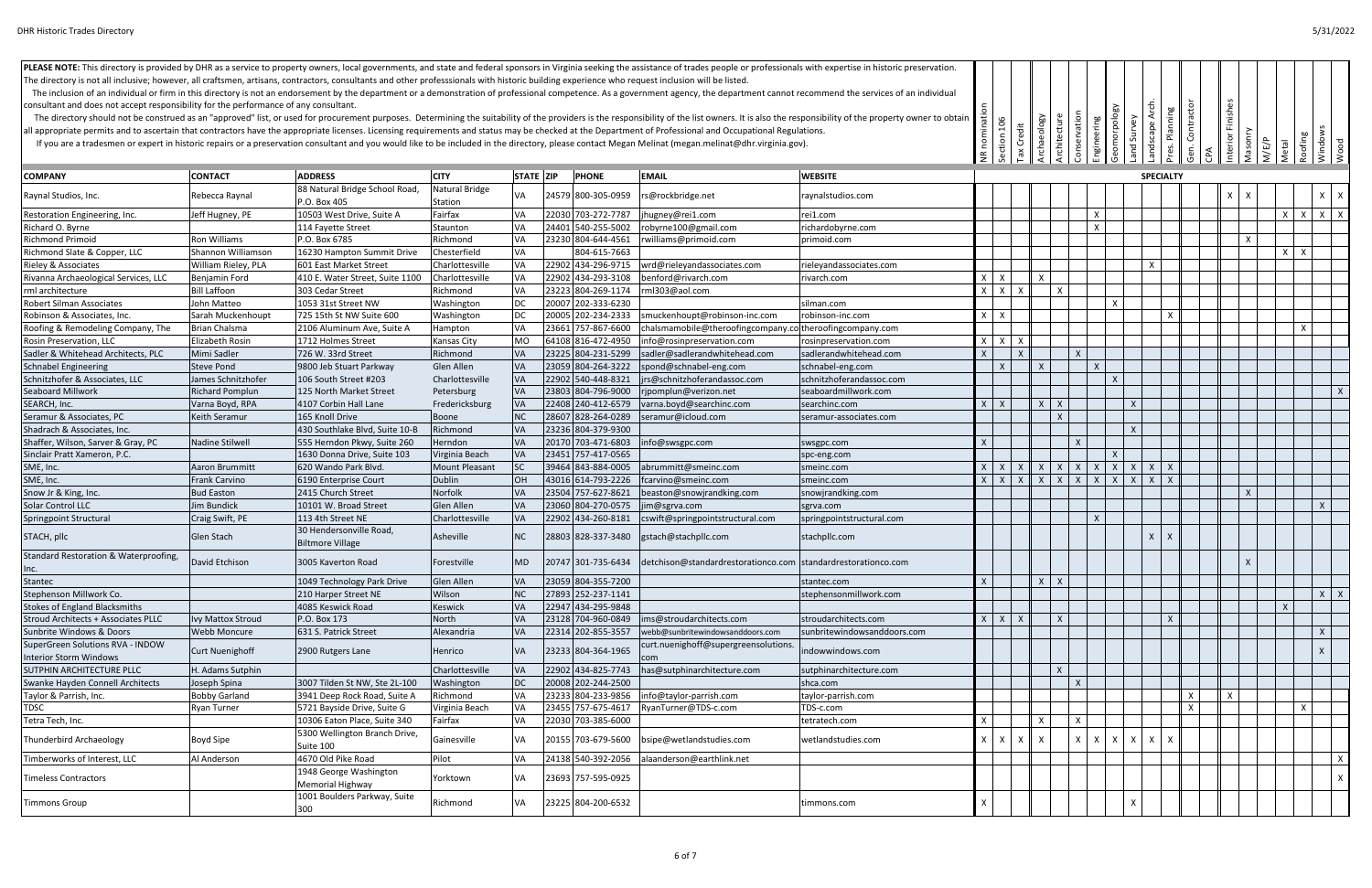| PLEASE NOTE: This directory is provided by DHR as a service to property owners, local governments, and state and federal sponsors in Virginia seeking the assistance of trades people or professionals with expertise in histo<br>The directory is not all inclusive; however, all craftsmen, artisans, contractors, consultants and other professsionals with historic building experience who request inclusion will be listed. | The inclusion of an individual or firm in this directory is not an endorsement by the department or a demonstration of professional competence. As a government agency, the department cannot recommend the services of an ind |                                                    |                       |                  |                    |                                                                                                                                                                                                      |                                                                                                                                                                                                                                |                          |              |              |              |             |                                        |                                 |           |                     |       |                              |                           |
|-----------------------------------------------------------------------------------------------------------------------------------------------------------------------------------------------------------------------------------------------------------------------------------------------------------------------------------------------------------------------------------------------------------------------------------|--------------------------------------------------------------------------------------------------------------------------------------------------------------------------------------------------------------------------------|----------------------------------------------------|-----------------------|------------------|--------------------|------------------------------------------------------------------------------------------------------------------------------------------------------------------------------------------------------|--------------------------------------------------------------------------------------------------------------------------------------------------------------------------------------------------------------------------------|--------------------------|--------------|--------------|--------------|-------------|----------------------------------------|---------------------------------|-----------|---------------------|-------|------------------------------|---------------------------|
| consultant and does not accept responsibility for the performance of any consultant.                                                                                                                                                                                                                                                                                                                                              |                                                                                                                                                                                                                                |                                                    |                       |                  |                    |                                                                                                                                                                                                      |                                                                                                                                                                                                                                |                          |              |              |              |             |                                        |                                 |           | Finishes            |       |                              |                           |
|                                                                                                                                                                                                                                                                                                                                                                                                                                   |                                                                                                                                                                                                                                |                                                    |                       |                  |                    |                                                                                                                                                                                                      | The directory should not be construed as an "approved" list, or used for procurement purposes. Determining the suitability of the providers is the responsibility of the list owners. It is also the responsibility of the pro | inati<br>106             |              | chaeology    | Conservation |             | Geomorpology                           | Planning<br>ই                   | Contracto |                     |       |                              |                           |
| all appropriate permits and to ascertain that contractors have the appropriate licenses. Licensing requirements and status may be checked at the Department of Professional and Occupational Regulations.                                                                                                                                                                                                                         |                                                                                                                                                                                                                                |                                                    |                       |                  |                    |                                                                                                                                                                                                      |                                                                                                                                                                                                                                |                          |              |              |              |             |                                        |                                 |           |                     |       |                              |                           |
|                                                                                                                                                                                                                                                                                                                                                                                                                                   |                                                                                                                                                                                                                                |                                                    |                       |                  |                    | If you are a tradesmen or expert in historic repairs or a preservation consultant and you would like to be included in the directory, please contact Megan Melinat (megan melinat@dhr.virginia.gov). |                                                                                                                                                                                                                                | Section                  | Tax Credit   | Architecture |              | Engineering | Land Survey                            | Landscape                       |           | Masonry<br>Interior | M/E/P | Metal                        | Windows<br>Wood           |
|                                                                                                                                                                                                                                                                                                                                                                                                                                   |                                                                                                                                                                                                                                |                                                    |                       |                  |                    |                                                                                                                                                                                                      |                                                                                                                                                                                                                                | $\widetilde{\Xi}$        |              |              |              |             |                                        | Pres.                           | Gen.      |                     |       |                              |                           |
| <b>COMPANY</b>                                                                                                                                                                                                                                                                                                                                                                                                                    | <b>CONTACT</b>                                                                                                                                                                                                                 | <b>ADDRESS</b>                                     | <b>CITY</b>           | <b>STATE ZIP</b> | <b>PHONE</b>       | <b>EMAIL</b>                                                                                                                                                                                         | <b>WEBSITE</b>                                                                                                                                                                                                                 |                          |              |              |              |             |                                        | <b>SPECIALTY</b>                |           |                     |       |                              |                           |
|                                                                                                                                                                                                                                                                                                                                                                                                                                   |                                                                                                                                                                                                                                | 88 Natural Bridge School Road,                     | Natural Bridge        |                  |                    |                                                                                                                                                                                                      |                                                                                                                                                                                                                                |                          |              |              |              |             |                                        |                                 |           |                     |       |                              |                           |
| Raynal Studios, Inc.                                                                                                                                                                                                                                                                                                                                                                                                              | Rebecca Raynal                                                                                                                                                                                                                 | P.O. Box 405                                       | Station               | VA               | 24579 800-305-0959 | rs@rockbridge.net                                                                                                                                                                                    | raynalstudios.com                                                                                                                                                                                                              |                          |              |              |              |             |                                        |                                 |           | X<br>$\times$       |       |                              | $X$ $X$                   |
| Restoration Engineering, Inc.                                                                                                                                                                                                                                                                                                                                                                                                     | Jeff Hugney, PE                                                                                                                                                                                                                | 10503 West Drive, Suite A                          | Fairfax               | VA               | 22030 703-272-7787 | jhugney@rei1.com                                                                                                                                                                                     | rei1.com                                                                                                                                                                                                                       |                          |              |              |              | X           |                                        |                                 |           |                     |       | X<br>$\mathsf{X}$            | $X$ $X$                   |
| Richard O. Byrne                                                                                                                                                                                                                                                                                                                                                                                                                  |                                                                                                                                                                                                                                | 114 Fayette Street                                 | Staunton              | VA               | 24401 540-255-5002 | robyrne100@gmail.com                                                                                                                                                                                 | richardobyrne.com                                                                                                                                                                                                              |                          |              |              |              |             |                                        |                                 |           |                     |       |                              |                           |
| Richmond Primoid                                                                                                                                                                                                                                                                                                                                                                                                                  | Ron Williams                                                                                                                                                                                                                   | P.O. Box 6785                                      | Richmond              | VA               | 23230 804-644-4561 | rwilliams@primoid.com                                                                                                                                                                                | primoid.com                                                                                                                                                                                                                    |                          |              |              |              |             |                                        |                                 |           | $\mathsf{X}$        |       |                              |                           |
| Richmond Slate & Copper, LLC                                                                                                                                                                                                                                                                                                                                                                                                      | Shannon Williamson                                                                                                                                                                                                             | 16230 Hampton Summit Drive                         | Chesterfield          | VA               | 804-615-7663       |                                                                                                                                                                                                      |                                                                                                                                                                                                                                |                          |              |              |              |             |                                        |                                 |           |                     |       | $\mathsf{X}$<br>$\mathsf{X}$ |                           |
| <b>Rieley &amp; Associates</b>                                                                                                                                                                                                                                                                                                                                                                                                    | William Rieley, PLA                                                                                                                                                                                                            | 601 East Market Street                             | Charlottesville       | VA               | 22902 434-296-9715 | wrd@rieleyandassociates.com                                                                                                                                                                          | rieleyandassociates.com                                                                                                                                                                                                        |                          |              |              |              |             |                                        | $\mathbf{x}$                    |           |                     |       |                              |                           |
| Rivanna Archaeological Services, LLC                                                                                                                                                                                                                                                                                                                                                                                              | Benjamin Ford                                                                                                                                                                                                                  | 410 E. Water Street, Suite 1100                    | Charlottesville       | VA               | 22902 434-293-3108 | benford@rivarch.com                                                                                                                                                                                  | rivarch.com                                                                                                                                                                                                                    | $\mathsf{X}$<br>$\times$ |              | x I          |              |             |                                        |                                 |           |                     |       |                              |                           |
| rml architecture                                                                                                                                                                                                                                                                                                                                                                                                                  | <b>Bill Laffoon</b>                                                                                                                                                                                                            | 303 Cedar Street                                   | Richmond              | VA               | 23223 804-269-1174 | rml303@aol.com                                                                                                                                                                                       |                                                                                                                                                                                                                                | $x \mid x \mid x \mid$   |              | $\mathsf{X}$ |              |             |                                        |                                 |           |                     |       |                              |                           |
| Robert Silman Associates                                                                                                                                                                                                                                                                                                                                                                                                          | John Matteo                                                                                                                                                                                                                    | 1053 31st Street NW                                | Washington            | <b>DC</b>        | 20007 202-333-6230 |                                                                                                                                                                                                      | silman.com                                                                                                                                                                                                                     |                          |              |              |              |             | X                                      |                                 |           |                     |       |                              |                           |
| Robinson & Associates, Inc.                                                                                                                                                                                                                                                                                                                                                                                                       | Sarah Muckenhoupt                                                                                                                                                                                                              | 725 15th St NW Suite 600                           | Washington            | DC               | 20005 202-234-2333 | smuckenhoupt@robinson-inc.com                                                                                                                                                                        | robinson-inc.com                                                                                                                                                                                                               | $\times$<br>X            |              |              |              |             |                                        | $\mathsf{x}$                    |           |                     |       |                              |                           |
| Roofing & Remodeling Company, The                                                                                                                                                                                                                                                                                                                                                                                                 | <b>Brian Chalsma</b>                                                                                                                                                                                                           | 2106 Aluminum Ave, Suite A                         | Hampton               | VA               | 23661 757-867-6600 | chalsmamobile@theroofingcompany.                                                                                                                                                                     | otheroofingcompany.com                                                                                                                                                                                                         |                          |              |              |              |             |                                        |                                 |           |                     |       |                              |                           |
| Rosin Preservation, LLC                                                                                                                                                                                                                                                                                                                                                                                                           | Elizabeth Rosin                                                                                                                                                                                                                | 1712 Holmes Street                                 | Kansas City           | MO               | 64108 816-472-4950 | info@rosinpreservation.com                                                                                                                                                                           | rosinpreservation.com                                                                                                                                                                                                          | $X$ $X$ $X$              |              |              |              |             |                                        |                                 |           |                     |       |                              |                           |
| Sadler & Whitehead Architects, PLC                                                                                                                                                                                                                                                                                                                                                                                                | Mimi Sadler                                                                                                                                                                                                                    | 726 W. 33rd Street                                 | Richmond              |                  | 23225 804-231-5299 | sadler@sadlerandwhitehead.com                                                                                                                                                                        | sadlerandwhitehead.com                                                                                                                                                                                                         |                          | $\mathsf{X}$ |              | X            |             |                                        |                                 |           |                     |       |                              |                           |
| <b>Schnabel Engineering</b>                                                                                                                                                                                                                                                                                                                                                                                                       | Steve Pond                                                                                                                                                                                                                     | 9800 Jeb Stuart Parkway                            | Glen Allen            |                  | 23059 804-264-3222 | spond@schnabel-eng.com                                                                                                                                                                               | schnabel-eng.com                                                                                                                                                                                                               | $\mathsf{X}$             |              | $\mathsf{X}$ |              | X           |                                        |                                 |           |                     |       |                              |                           |
| Schnitzhofer & Associates, LLC                                                                                                                                                                                                                                                                                                                                                                                                    | James Schnitzhofer                                                                                                                                                                                                             | 106 South Street #203                              | Charlottesville       |                  | 22902 540-448-8321 | irs@schnitzhoferandassoc.com                                                                                                                                                                         | schnitzhoferandassoc.com                                                                                                                                                                                                       |                          |              |              |              |             | $\mathsf{X}$                           |                                 |           |                     |       |                              |                           |
| Seaboard Millwork                                                                                                                                                                                                                                                                                                                                                                                                                 | <b>Richard Pomplun</b>                                                                                                                                                                                                         | 125 North Market Street                            | Petersburg            |                  | 23803 804-796-9000 | rjpomplun@verizon.net                                                                                                                                                                                | seaboardmillwork.com                                                                                                                                                                                                           |                          |              |              |              |             |                                        |                                 |           |                     |       |                              | $\mathsf{X}$              |
| SEARCH, Inc.                                                                                                                                                                                                                                                                                                                                                                                                                      | Varna Boyd, RPA                                                                                                                                                                                                                | 4107 Corbin Hall Lane                              | Fredericksburg        |                  | 22408 240-412-6579 | varna.boyd@searchinc.com                                                                                                                                                                             | searchinc.com                                                                                                                                                                                                                  | $X \mid X$               |              | $X$ $X$      |              |             | $\mathsf{X}$                           |                                 |           |                     |       |                              |                           |
| Seramur & Associates, PC                                                                                                                                                                                                                                                                                                                                                                                                          | Keith Seramur                                                                                                                                                                                                                  | 165 Knoll Drive                                    |                       | <b>NC</b>        | 28607 828-264-0289 | seramur@icloud.com                                                                                                                                                                                   |                                                                                                                                                                                                                                |                          |              | $\mathsf{X}$ |              |             |                                        |                                 |           |                     |       |                              |                           |
|                                                                                                                                                                                                                                                                                                                                                                                                                                   |                                                                                                                                                                                                                                |                                                    | Boone                 |                  |                    |                                                                                                                                                                                                      | seramur-associates.com                                                                                                                                                                                                         |                          |              |              |              |             |                                        |                                 |           |                     |       |                              |                           |
| Shadrach & Associates, Inc.                                                                                                                                                                                                                                                                                                                                                                                                       |                                                                                                                                                                                                                                | 430 Southlake Blvd, Suite 10-B                     | Richmond              |                  | 23236 804-379-9300 |                                                                                                                                                                                                      |                                                                                                                                                                                                                                |                          |              |              |              |             | $\mathsf{X}$                           |                                 |           |                     |       |                              |                           |
| Shaffer, Wilson, Sarver & Gray, PC                                                                                                                                                                                                                                                                                                                                                                                                | <b>Nadine Stilwell</b>                                                                                                                                                                                                         | 555 Herndon Pkwy, Suite 260                        | Herndon               | <b>VA</b>        | 20170 703-471-6803 | info@swsgpc.com                                                                                                                                                                                      | swsgpc.com                                                                                                                                                                                                                     | $\mathsf{X}$             |              |              | $\mathsf{X}$ |             |                                        |                                 |           |                     |       |                              |                           |
| Sinclair Pratt Xameron, P.C.                                                                                                                                                                                                                                                                                                                                                                                                      |                                                                                                                                                                                                                                | 1630 Donna Drive, Suite 103                        | Virginia Beach        |                  | 23451 757-417-0565 |                                                                                                                                                                                                      | spc-eng.com                                                                                                                                                                                                                    |                          |              |              |              |             | $\mathsf{X}$                           |                                 |           |                     |       |                              |                           |
| SME, Inc.                                                                                                                                                                                                                                                                                                                                                                                                                         | Aaron Brummitt                                                                                                                                                                                                                 | 620 Wando Park Blvd.                               | <b>Mount Pleasant</b> | <b>SC</b>        | 39464 843-884-0005 | abrummitt@smeinc.com                                                                                                                                                                                 | smeinc.com                                                                                                                                                                                                                     | $X \mid$                 | $X$ $X$      | $X$ $X$ $X$  |              |             |                                        | $x \mid x \mid x \mid x \mid x$ |           |                     |       |                              |                           |
| SME, Inc.                                                                                                                                                                                                                                                                                                                                                                                                                         | <b>Frank Carvino</b>                                                                                                                                                                                                           | 6190 Enterprise Court                              | Dublin                | <b>OH</b>        | 43016 614-793-2226 | fcarvino@smeinc.com                                                                                                                                                                                  | smeinc.com                                                                                                                                                                                                                     | $X \mid$                 | $x \mid x$   |              |              |             | $x \mid x \mid x \mid x \mid x \mid x$ | $X$ $X$                         |           |                     |       |                              |                           |
| Snow Jr & King, Inc.                                                                                                                                                                                                                                                                                                                                                                                                              | <b>Bud Easton</b>                                                                                                                                                                                                              | 2415 Church Street                                 | Norfolk               | <b>VA</b>        | 23504 757-627-8621 | beaston@snowjrandking.com                                                                                                                                                                            | snowjrandking.com                                                                                                                                                                                                              |                          |              |              |              |             |                                        |                                 |           | $\mathsf{X}$        |       |                              |                           |
| Solar Control LLC                                                                                                                                                                                                                                                                                                                                                                                                                 | Jim Bundick                                                                                                                                                                                                                    | 10101 W. Broad Street                              | Glen Allen            | VA               | 23060 804-270-0575 | jim@sgrva.com                                                                                                                                                                                        | sgrva.com                                                                                                                                                                                                                      |                          |              |              |              |             |                                        |                                 |           |                     |       | $\times$                     |                           |
| Springpoint Structural                                                                                                                                                                                                                                                                                                                                                                                                            | Craig Swift, PE                                                                                                                                                                                                                | 113 4th Street NE                                  | Charlottesville       | VA               | 22902 434-260-8181 | cswift@springpointstructural.com                                                                                                                                                                     | springpointstructural.com                                                                                                                                                                                                      |                          |              |              |              | X           |                                        |                                 |           |                     |       |                              |                           |
| STACH, pllc                                                                                                                                                                                                                                                                                                                                                                                                                       | Glen Stach                                                                                                                                                                                                                     | 30 Hendersonville Road,<br><b>Biltmore Village</b> | Asheville             | NC               | 28803 828-337-3480 | gstach@stachpllc.com                                                                                                                                                                                 | stachpllc.com                                                                                                                                                                                                                  |                          |              |              |              |             |                                        | $\mathsf{X}$                    |           |                     |       |                              |                           |
| Standard Restoration & Waterproofing,<br>Inc.                                                                                                                                                                                                                                                                                                                                                                                     | David Etchison                                                                                                                                                                                                                 | 3005 Kaverton Road                                 | Forestville           | MD.              |                    | 20747 301-735-6434 detchison@standardrestorationco.com standardrestorationco.com                                                                                                                     |                                                                                                                                                                                                                                |                          |              |              |              |             |                                        |                                 |           |                     |       |                              |                           |
| Stantec                                                                                                                                                                                                                                                                                                                                                                                                                           |                                                                                                                                                                                                                                | 1049 Technology Park Drive                         | Glen Allen            | VA               | 23059 804-355-7200 |                                                                                                                                                                                                      | stantec.com                                                                                                                                                                                                                    | $\mathsf{x}$             |              | $x \mid x$   |              |             |                                        |                                 |           |                     |       |                              |                           |
| Stephenson Millwork Co.                                                                                                                                                                                                                                                                                                                                                                                                           |                                                                                                                                                                                                                                | 210 Harper Street NE                               | Wilson                | NC               | 27893 252-237-1141 |                                                                                                                                                                                                      | stephensonmillwork.com                                                                                                                                                                                                         |                          |              |              |              |             |                                        |                                 |           |                     |       |                              | $X \mid X$                |
| <b>Stokes of England Blacksmiths</b>                                                                                                                                                                                                                                                                                                                                                                                              |                                                                                                                                                                                                                                | 4085 Keswick Road                                  | Keswick               | VA               | 22947 434-295-9848 |                                                                                                                                                                                                      |                                                                                                                                                                                                                                |                          |              |              |              |             |                                        |                                 |           |                     |       | $\mathsf{X}$                 |                           |
| Stroud Architects + Associates PLLC                                                                                                                                                                                                                                                                                                                                                                                               | <b>Ivy Mattox Stroud</b>                                                                                                                                                                                                       | P.O. Box 173                                       | North                 |                  | 23128 704-960-0849 | ims@stroudarchitects.com                                                                                                                                                                             | stroudarchitects.com                                                                                                                                                                                                           | $X$ $X$ $X$              |              | $\mathsf{X}$ |              |             |                                        | $\mathsf{X}$                    |           |                     |       |                              |                           |
| Sunbrite Windows & Doors                                                                                                                                                                                                                                                                                                                                                                                                          | Webb Moncure                                                                                                                                                                                                                   | 631 S. Patrick Street                              | Alexandria            | VA               | 22314 202-855-3557 | webb@sunbritewindowsanddoors.com                                                                                                                                                                     | sunbritewindowsanddoors.com                                                                                                                                                                                                    |                          |              |              |              |             |                                        |                                 |           |                     |       | X                            |                           |
| SuperGreen Solutions RVA - INDOW<br><b>Interior Storm Windows</b>                                                                                                                                                                                                                                                                                                                                                                 | <b>Curt Nuenighoff</b>                                                                                                                                                                                                         | 2900 Rutgers Lane                                  | Henrico               | VA               | 23233 804-364-1965 | curt.nuenighoff@supergreensolutions.<br>com                                                                                                                                                          | indowwindows.com                                                                                                                                                                                                               |                          |              |              |              |             |                                        |                                 |           |                     |       |                              |                           |
| SUTPHIN ARCHITECTURE PLLC                                                                                                                                                                                                                                                                                                                                                                                                         | H. Adams Sutphin                                                                                                                                                                                                               |                                                    | Charlottesville       | VA               | 22902 434-825-7743 | has@sutphinarchitecture.com                                                                                                                                                                          | sutphinarchitecture.com                                                                                                                                                                                                        |                          |              | $\mathsf{X}$ |              |             |                                        |                                 |           |                     |       |                              |                           |
|                                                                                                                                                                                                                                                                                                                                                                                                                                   |                                                                                                                                                                                                                                |                                                    |                       | <b>DC</b>        | 20008 202-244-2500 |                                                                                                                                                                                                      |                                                                                                                                                                                                                                |                          |              |              | X            |             |                                        |                                 |           |                     |       |                              |                           |
| Swanke Hayden Connell Architects                                                                                                                                                                                                                                                                                                                                                                                                  | Joseph Spina                                                                                                                                                                                                                   | 3007 Tilden St NW, Ste 2L-100                      | Washington            |                  |                    |                                                                                                                                                                                                      | shca.com                                                                                                                                                                                                                       |                          |              |              |              |             |                                        |                                 |           |                     |       |                              |                           |
| Taylor & Parrish, Inc.                                                                                                                                                                                                                                                                                                                                                                                                            | <b>Bobby Garland</b>                                                                                                                                                                                                           | 3941 Deep Rock Road, Suite A                       | Richmond              | <b>VA</b>        | 23233 804-233-9856 | info@taylor-parrish.com                                                                                                                                                                              | taylor-parrish.com                                                                                                                                                                                                             |                          |              |              |              |             |                                        |                                 | x         | X                   |       |                              |                           |
| <b>TDSC</b>                                                                                                                                                                                                                                                                                                                                                                                                                       | <b>Ryan Turner</b>                                                                                                                                                                                                             | 5721 Bayside Drive, Suite G                        | Virginia Beach        | VA               | 23455 757-675-4617 | RyanTurner@TDS-c.com                                                                                                                                                                                 | TDS-c.com                                                                                                                                                                                                                      |                          |              |              |              |             |                                        |                                 | $\times$  |                     |       | $\mathsf{x}$                 |                           |
| Tetra Tech, Inc.                                                                                                                                                                                                                                                                                                                                                                                                                  |                                                                                                                                                                                                                                | 10306 Eaton Place, Suite 340                       | Fairfax               | VA               | 22030 703-385-6000 |                                                                                                                                                                                                      | tetratech.com                                                                                                                                                                                                                  | $\times$                 |              | $\times$     | $\times$     |             |                                        |                                 |           |                     |       |                              |                           |
| Thunderbird Archaeology                                                                                                                                                                                                                                                                                                                                                                                                           | Boyd Sipe                                                                                                                                                                                                                      | 5300 Wellington Branch Drive,<br>Suite 100         | Gainesville           | VA.              | 20155 703-679-5600 | bsipe@wetlandstudies.com                                                                                                                                                                             | wetlandstudies.com                                                                                                                                                                                                             | $\times$                 | $\mathsf{X}$ |              | $\mathsf{X}$ |             | $\mathsf{X}^-$<br>$\mathsf{X}$         | $\mathsf{x}$<br>$\mathsf{x}$    |           |                     |       |                              |                           |
| Timberworks of Interest, LLC                                                                                                                                                                                                                                                                                                                                                                                                      | Al Anderson                                                                                                                                                                                                                    | 4670 Old Pike Road                                 | Pilot                 | VA               | 24138 540-392-2056 | alaanderson@earthlink.net                                                                                                                                                                            |                                                                                                                                                                                                                                |                          |              |              |              |             |                                        |                                 |           |                     |       |                              | $\mathsf{X}$              |
| <b>Timeless Contractors</b>                                                                                                                                                                                                                                                                                                                                                                                                       |                                                                                                                                                                                                                                | 1948 George Washington<br>Memorial Highway         | Yorktown              | VA               | 23693 757-595-0925 |                                                                                                                                                                                                      |                                                                                                                                                                                                                                |                          |              |              |              |             |                                        |                                 |           |                     |       |                              | $\boldsymbol{\mathsf{x}}$ |
| Timmons Group                                                                                                                                                                                                                                                                                                                                                                                                                     |                                                                                                                                                                                                                                | 1001 Boulders Parkway, Suite<br>300                | Richmond              | VA.              | 23225 804-200-6532 |                                                                                                                                                                                                      | timmons.com                                                                                                                                                                                                                    |                          |              |              |              |             | X                                      |                                 |           |                     |       |                              |                           |
|                                                                                                                                                                                                                                                                                                                                                                                                                                   |                                                                                                                                                                                                                                |                                                    |                       |                  |                    |                                                                                                                                                                                                      |                                                                                                                                                                                                                                |                          |              |              |              |             |                                        |                                 |           |                     |       |                              |                           |